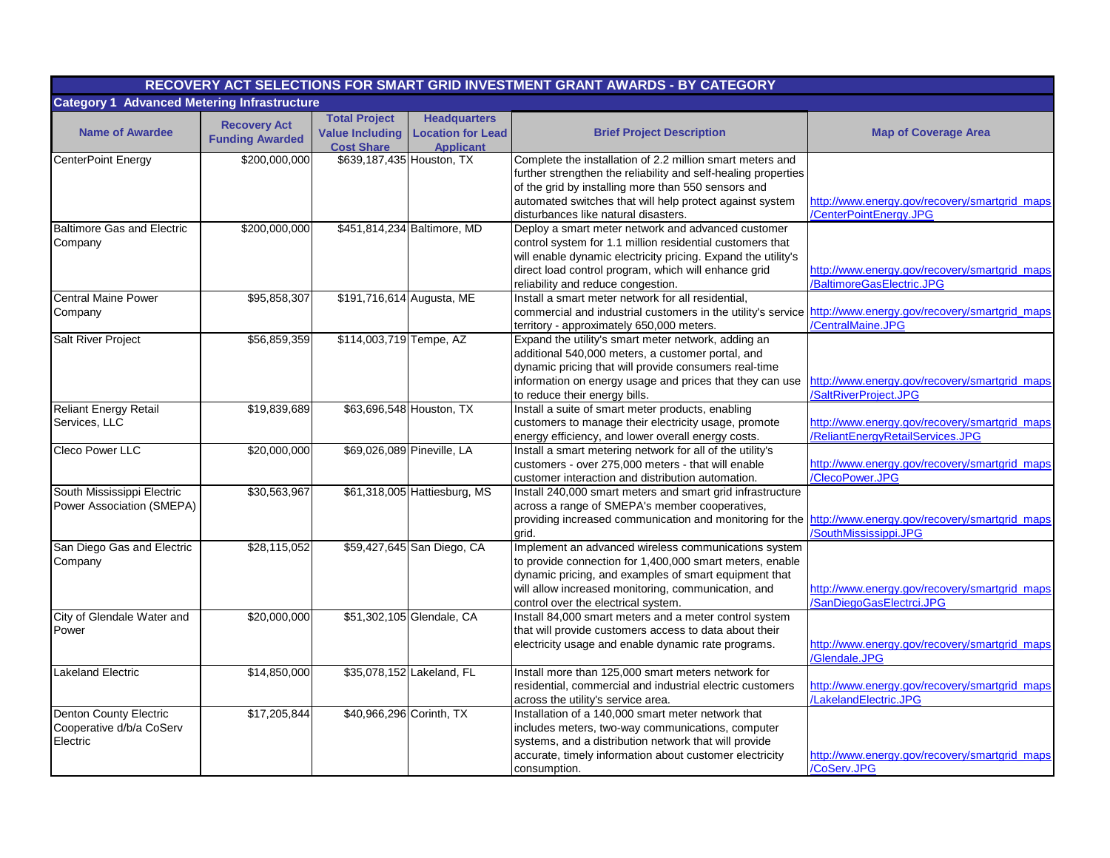| RECOVERY ACT SELECTIONS FOR SMART GRID INVESTMENT GRANT AWARDS - BY CATEGORY |                                               |                                                                     |                                                                     |                                                                                                                                                                                                                                                                                        |                                                                                  |  |
|------------------------------------------------------------------------------|-----------------------------------------------|---------------------------------------------------------------------|---------------------------------------------------------------------|----------------------------------------------------------------------------------------------------------------------------------------------------------------------------------------------------------------------------------------------------------------------------------------|----------------------------------------------------------------------------------|--|
| <b>Category 1 Advanced Metering Infrastructure</b>                           |                                               |                                                                     |                                                                     |                                                                                                                                                                                                                                                                                        |                                                                                  |  |
| <b>Name of Awardee</b>                                                       | <b>Recovery Act</b><br><b>Funding Awarded</b> | <b>Total Project</b><br><b>Value Including</b><br><b>Cost Share</b> | <b>Headquarters</b><br><b>Location for Lead</b><br><b>Applicant</b> | <b>Brief Project Description</b>                                                                                                                                                                                                                                                       | <b>Map of Coverage Area</b>                                                      |  |
| <b>CenterPoint Energy</b>                                                    | \$200,000,000                                 | \$639,187,435 Houston, TX                                           |                                                                     | Complete the installation of 2.2 million smart meters and<br>further strengthen the reliability and self-healing properties<br>of the grid by installing more than 550 sensors and<br>automated switches that will help protect against system<br>disturbances like natural disasters. | http://www.energy.gov/recovery/smartgrid_maps<br>CenterPointEnergy.JPG           |  |
| <b>Baltimore Gas and Electric</b><br>Company                                 | \$200,000,000                                 |                                                                     | \$451,814,234 Baltimore, MD                                         | Deploy a smart meter network and advanced customer<br>control system for 1.1 million residential customers that<br>will enable dynamic electricity pricing. Expand the utility's<br>direct load control program, which will enhance grid<br>reliability and reduce congestion.         | http://www.energy.gov/recovery/smartgrid_maps<br>BaltimoreGasElectric.JPG        |  |
| <b>Central Maine Power</b><br>Company                                        | \$95,858,307                                  | \$191,716,614 Augusta, ME                                           |                                                                     | Install a smart meter network for all residential,<br>commercial and industrial customers in the utility's service http://www.energy.gov/recovery/smartgrid_maps<br>territory - approximately 650,000 meters.                                                                          | CentralMaine.JPG                                                                 |  |
| Salt River Project                                                           | \$56,859,359                                  | \$114,003,719 Tempe, AZ                                             |                                                                     | Expand the utility's smart meter network, adding an<br>additional 540,000 meters, a customer portal, and<br>dynamic pricing that will provide consumers real-time<br>information on energy usage and prices that they can use<br>to reduce their energy bills.                         | http://www.energy.gov/recovery/smartgrid_maps<br>SaltRiverProject.JPG            |  |
| <b>Reliant Energy Retail</b><br>Services, LLC                                | \$19,839,689                                  |                                                                     | \$63,696,548 Houston, TX                                            | Install a suite of smart meter products, enabling<br>customers to manage their electricity usage, promote<br>energy efficiency, and lower overall energy costs.                                                                                                                        | http://www.energy.gov/recovery/smartgrid_maps<br>ReliantEnergyRetailServices.JPG |  |
| <b>Cleco Power LLC</b>                                                       | \$20,000,000                                  | \$69,026,089 Pineville, LA                                          |                                                                     | Install a smart metering network for all of the utility's<br>customers - over 275,000 meters - that will enable<br>customer interaction and distribution automation.                                                                                                                   | http://www.energy.gov/recovery/smartgrid maps<br>ClecoPower.JPG                  |  |
| South Mississippi Electric<br>Power Association (SMEPA)                      | \$30,563,967                                  |                                                                     | \$61,318,005 Hattiesburg, MS                                        | Install 240,000 smart meters and smart grid infrastructure<br>across a range of SMEPA's member cooperatives,<br>providing increased communication and monitoring for the http://www.energy.gov/recovery/smartgrid_maps<br>grid.                                                        | SouthMississippi.JPG                                                             |  |
| San Diego Gas and Electric<br>Company                                        | \$28,115,052                                  |                                                                     | \$59,427,645 San Diego, CA                                          | Implement an advanced wireless communications system<br>to provide connection for 1,400,000 smart meters, enable<br>dynamic pricing, and examples of smart equipment that<br>will allow increased monitoring, communication, and<br>control over the electrical system.                | http://www.energy.gov/recovery/smartgrid_maps<br>SanDiegoGasElectrci.JPG         |  |
| City of Glendale Water and<br>Power                                          | \$20,000,000                                  |                                                                     | \$51,302,105 Glendale, CA                                           | Install 84,000 smart meters and a meter control system<br>that will provide customers access to data about their<br>electricity usage and enable dynamic rate programs.                                                                                                                | http://www.energy.gov/recovery/smartgrid maps<br>Glendale.JPG                    |  |
| <b>Lakeland Electric</b>                                                     | \$14,850,000                                  |                                                                     | \$35,078,152 Lakeland, FL                                           | Install more than 125,000 smart meters network for<br>residential, commercial and industrial electric customers<br>across the utility's service area.                                                                                                                                  | http://www.energy.gov/recovery/smartgrid_maps<br>/LakelandElectric.JPG           |  |
| <b>Denton County Electric</b><br>Cooperative d/b/a CoServ<br>Electric        | \$17,205,844                                  | \$40,966,296 Corinth, TX                                            |                                                                     | Installation of a 140,000 smart meter network that<br>includes meters, two-way communications, computer<br>systems, and a distribution network that will provide<br>accurate, timely information about customer electricity<br>consumption.                                            | http://www.energy.gov/recovery/smartgrid_maps<br>/CoServ.JPG                     |  |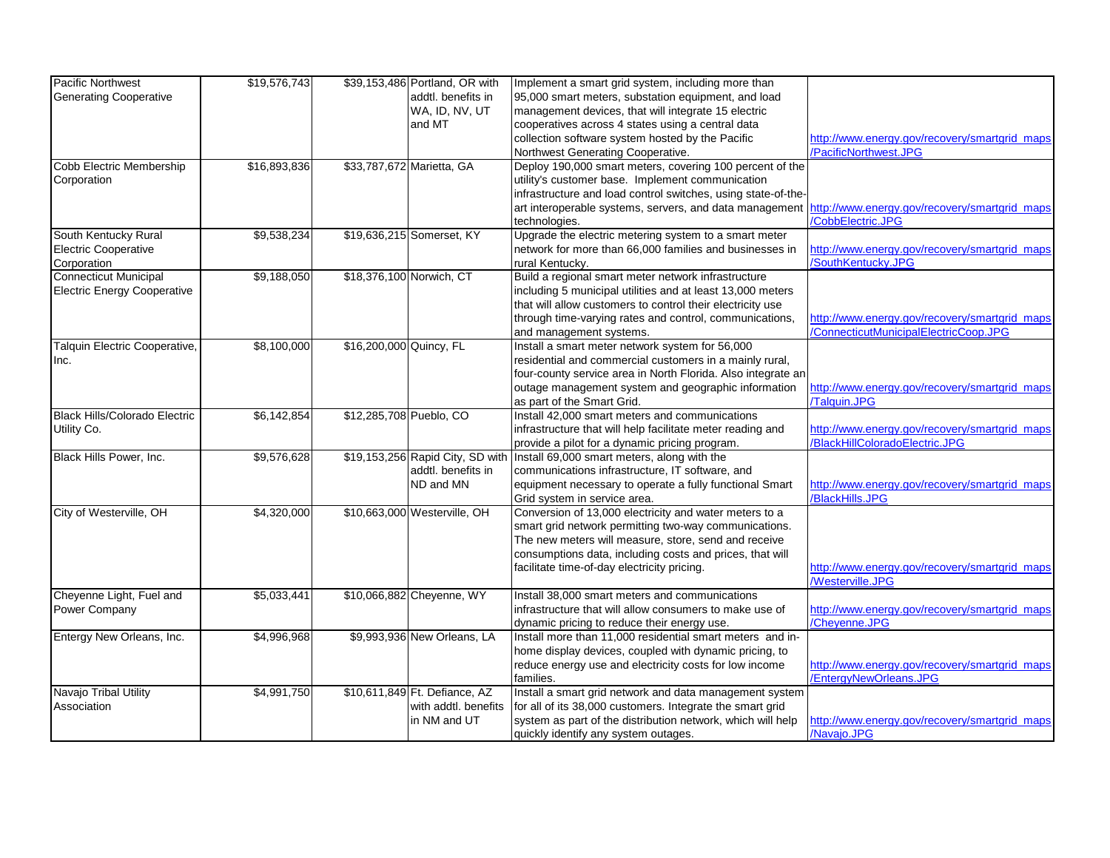| <b>Pacific Northwest</b>             | \$19,576,743 |                          | \$39,153,486 Portland, OR with   | Implement a smart grid system, including more than                                                    |                                                                                 |
|--------------------------------------|--------------|--------------------------|----------------------------------|-------------------------------------------------------------------------------------------------------|---------------------------------------------------------------------------------|
| <b>Generating Cooperative</b>        |              |                          | addtl. benefits in               | 95,000 smart meters, substation equipment, and load                                                   |                                                                                 |
|                                      |              |                          | WA, ID, NV, UT                   | management devices, that will integrate 15 electric                                                   |                                                                                 |
|                                      |              |                          | and MT                           | cooperatives across 4 states using a central data                                                     |                                                                                 |
|                                      |              |                          |                                  | collection software system hosted by the Pacific                                                      | http://www.energy.gov/recovery/smartgrid_maps                                   |
|                                      |              |                          |                                  | Northwest Generating Cooperative.                                                                     | /PacificNorthwest.JPG                                                           |
| Cobb Electric Membership             | \$16,893,836 |                          | \$33,787,672 Marietta, GA        | Deploy 190,000 smart meters, covering 100 percent of the                                              |                                                                                 |
| Corporation                          |              |                          |                                  | utility's customer base. Implement communication                                                      |                                                                                 |
|                                      |              |                          |                                  | infrastructure and load control switches, using state-of-the-                                         |                                                                                 |
|                                      |              |                          |                                  | art interoperable systems, servers, and data management http://www.energy.gov/recovery/smartgrid_maps |                                                                                 |
|                                      |              |                          |                                  | technologies.                                                                                         | /CobbElectric.JPG                                                               |
| South Kentucky Rural                 | \$9,538,234  |                          | \$19,636,215 Somerset, KY        | Upgrade the electric metering system to a smart meter                                                 |                                                                                 |
| <b>Electric Cooperative</b>          |              |                          |                                  | network for more than 66,000 families and businesses in                                               | http://www.energy.gov/recovery/smartgrid_maps                                   |
| Corporation                          |              |                          |                                  | rural Kentucky.                                                                                       | SouthKentucky.JPG                                                               |
| <b>Connecticut Municipal</b>         | \$9,188,050  | \$18,376,100 Norwich, CT |                                  | Build a regional smart meter network infrastructure                                                   |                                                                                 |
| Electric Energy Cooperative          |              |                          |                                  | including 5 municipal utilities and at least 13,000 meters                                            |                                                                                 |
|                                      |              |                          |                                  | that will allow customers to control their electricity use                                            |                                                                                 |
|                                      |              |                          |                                  | through time-varying rates and control, communications,                                               | http://www.energy.gov/recovery/smartgrid_maps                                   |
|                                      |              |                          |                                  | and management systems.                                                                               | /ConnecticutMunicipalElectricCoop.JPG                                           |
| Talquin Electric Cooperative,        | \$8,100,000  | \$16,200,000 Quincy, FL  |                                  | Install a smart meter network system for 56,000                                                       |                                                                                 |
| Inc.                                 |              |                          |                                  | residential and commercial customers in a mainly rural,                                               |                                                                                 |
|                                      |              |                          |                                  | four-county service area in North Florida. Also integrate an                                          |                                                                                 |
|                                      |              |                          |                                  | outage management system and geographic information                                                   | http://www.energy.gov/recovery/smartgrid_maps                                   |
|                                      |              |                          |                                  |                                                                                                       | Talquin.JPG                                                                     |
|                                      |              |                          |                                  | as part of the Smart Grid.                                                                            |                                                                                 |
| <b>Black Hills/Colorado Electric</b> | \$6,142,854  | \$12,285,708 Pueblo, CO  |                                  | Install 42,000 smart meters and communications                                                        |                                                                                 |
| Utility Co.                          |              |                          |                                  | infrastructure that will help facilitate meter reading and                                            | http://www.energy.gov/recovery/smartgrid_maps<br>/BlackHillColoradoElectric.JPG |
| Black Hills Power, Inc.              |              |                          |                                  | provide a pilot for a dynamic pricing program.<br>Install 69,000 smart meters, along with the         |                                                                                 |
|                                      | \$9,576,628  |                          | \$19,153,256 Rapid City, SD with |                                                                                                       |                                                                                 |
|                                      |              |                          | addtl. benefits in               | communications infrastructure, IT software, and                                                       |                                                                                 |
|                                      |              |                          | ND and MN                        | equipment necessary to operate a fully functional Smart                                               | http://www.energy.gov/recovery/smartgrid_maps                                   |
|                                      |              |                          |                                  | Grid system in service area.                                                                          | /BlackHills.JPG                                                                 |
| City of Westerville, OH              | \$4,320,000  |                          | \$10,663,000 Westerville, OH     | Conversion of 13,000 electricity and water meters to a                                                |                                                                                 |
|                                      |              |                          |                                  | smart grid network permitting two-way communications.                                                 |                                                                                 |
|                                      |              |                          |                                  | The new meters will measure, store, send and receive                                                  |                                                                                 |
|                                      |              |                          |                                  | consumptions data, including costs and prices, that will                                              |                                                                                 |
|                                      |              |                          |                                  | facilitate time-of-day electricity pricing.                                                           | http://www.energy.gov/recovery/smartgrid_maps                                   |
|                                      |              |                          |                                  |                                                                                                       | Westerville.JPG                                                                 |
| Cheyenne Light, Fuel and             | \$5,033,441  |                          | \$10,066,882 Cheyenne, WY        | Install 38,000 smart meters and communications                                                        |                                                                                 |
| Power Company                        |              |                          |                                  | infrastructure that will allow consumers to make use of                                               | http://www.energy.gov/recovery/smartgrid_maps                                   |
|                                      |              |                          |                                  | dynamic pricing to reduce their energy use.                                                           | /Cheyenne.JPG                                                                   |
| Entergy New Orleans, Inc.            | \$4,996,968  |                          | \$9,993,936 New Orleans, LA      | Install more than 11,000 residential smart meters and in-                                             |                                                                                 |
|                                      |              |                          |                                  | home display devices, coupled with dynamic pricing, to                                                |                                                                                 |
|                                      |              |                          |                                  | reduce energy use and electricity costs for low income                                                | http://www.energy.gov/recovery/smartgrid_maps                                   |
|                                      |              |                          |                                  | families.                                                                                             | /EntergyNewOrleans.JPG                                                          |
| Navajo Tribal Utility                | \$4,991,750  |                          | \$10,611,849 Ft. Defiance, AZ    | Install a smart grid network and data management system                                               |                                                                                 |
| Association                          |              |                          | with addtl. benefits             | for all of its 38,000 customers. Integrate the smart grid                                             |                                                                                 |
|                                      |              |                          | in NM and UT                     | system as part of the distribution network, which will help                                           | http://www.energy.gov/recovery/smartgrid_maps                                   |
|                                      |              |                          |                                  | quickly identify any system outages.                                                                  | /Navajo.JPG                                                                     |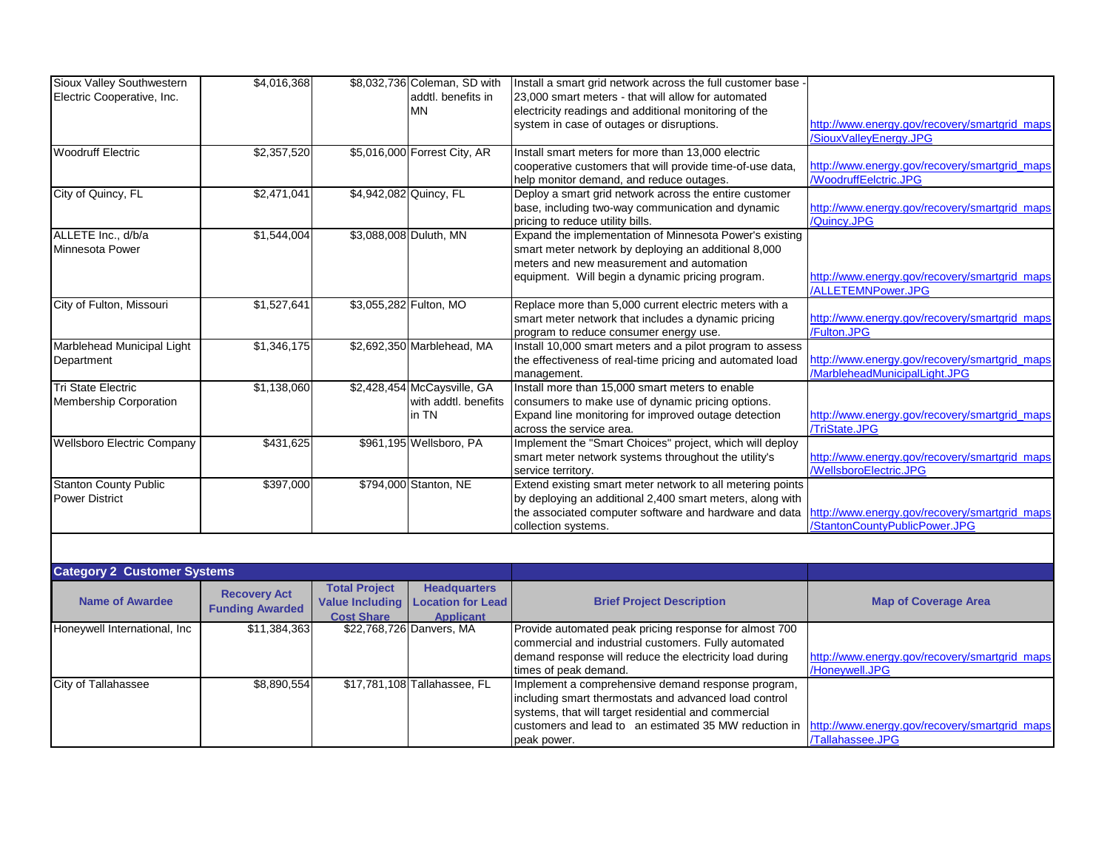| Sioux Valley Southwestern          | \$4,016,368            |                        | \$8,032,736 Coleman, SD with | Install a smart grid network across the full customer base |                                               |
|------------------------------------|------------------------|------------------------|------------------------------|------------------------------------------------------------|-----------------------------------------------|
| Electric Cooperative, Inc.         |                        |                        | addtl. benefits in           | 23,000 smart meters - that will allow for automated        |                                               |
|                                    |                        |                        | <b>MN</b>                    | electricity readings and additional monitoring of the      |                                               |
|                                    |                        |                        |                              | system in case of outages or disruptions.                  | http://www.energy.gov/recovery/smartgrid_maps |
|                                    |                        |                        |                              |                                                            | SiouxValleyEnergy.JPG                         |
| <b>Woodruff Electric</b>           | \$2,357,520            |                        | \$5,016,000 Forrest City, AR | Install smart meters for more than 13,000 electric         |                                               |
|                                    |                        |                        |                              | cooperative customers that will provide time-of-use data,  | http://www.energy.gov/recovery/smartgrid_maps |
|                                    |                        |                        |                              | help monitor demand, and reduce outages.                   | WoodruffEelctric.JPG                          |
| City of Quincy, FL                 | $\sqrt{$2,471,041}$    | \$4,942,082 Quincy, FL |                              | Deploy a smart grid network across the entire customer     |                                               |
|                                    |                        |                        |                              | base, including two-way communication and dynamic          | http://www.energy.gov/recovery/smartgrid maps |
|                                    |                        |                        |                              | pricing to reduce utility bills.                           | /Quincy.JPG                                   |
| ALLETE Inc., d/b/a                 | \$1,544,004            |                        | \$3,088,008 Duluth, MN       | Expand the implementation of Minnesota Power's existing    |                                               |
| Minnesota Power                    |                        |                        |                              | smart meter network by deploying an additional 8,000       |                                               |
|                                    |                        |                        |                              | meters and new measurement and automation                  |                                               |
|                                    |                        |                        |                              | equipment. Will begin a dynamic pricing program.           | http://www.energy.gov/recovery/smartgrid_maps |
|                                    |                        |                        |                              |                                                            | <b>/ALLETEMNPower.JPG</b>                     |
| City of Fulton, Missouri           | \$1,527,641            |                        | \$3,055,282 Fulton, MO       | Replace more than 5,000 current electric meters with a     |                                               |
|                                    |                        |                        |                              | smart meter network that includes a dynamic pricing        | http://www.energy.gov/recovery/smartgrid_maps |
|                                    |                        |                        |                              | program to reduce consumer energy use.                     | <b>/Fulton.JPG</b>                            |
| Marblehead Municipal Light         | \$1,346,175            |                        | \$2,692,350 Marblehead, MA   | Install 10,000 smart meters and a pilot program to assess  |                                               |
| Department                         |                        |                        |                              | the effectiveness of real-time pricing and automated load  | http://www.energy.gov/recovery/smartgrid_maps |
|                                    |                        |                        |                              | management.                                                | /MarbleheadMunicipalLight.JPG                 |
| <b>Tri State Electric</b>          | \$1,138,060            |                        | \$2,428,454 McCaysville, GA  | Install more than 15,000 smart meters to enable            |                                               |
| Membership Corporation             |                        |                        | with addtl. benefits         | consumers to make use of dynamic pricing options.          |                                               |
|                                    |                        |                        | in TN                        | Expand line monitoring for improved outage detection       | http://www.energy.gov/recovery/smartgrid maps |
|                                    |                        |                        |                              | across the service area.                                   | <b>TriState.JPG</b>                           |
| <b>Wellsboro Electric Company</b>  | \$431,625              |                        | \$961,195 Wellsboro, PA      | Implement the "Smart Choices" project, which will deploy   |                                               |
|                                    |                        |                        |                              | smart meter network systems throughout the utility's       | http://www.energy.gov/recovery/smartgrid_maps |
|                                    |                        |                        |                              | service territory.                                         | <b>WellsboroElectric.JPG</b>                  |
| <b>Stanton County Public</b>       | \$397,000              |                        | \$794,000 Stanton, NE        | Extend existing smart meter network to all metering points |                                               |
| <b>Power District</b>              |                        |                        |                              | by deploying an additional 2,400 smart meters, along with  |                                               |
|                                    |                        |                        |                              | the associated computer software and hardware and data     | http://www.energy.gov/recovery/smartgrid_maps |
|                                    |                        |                        |                              | collection systems.                                        | StantonCountyPublicPower.JPG                  |
|                                    |                        |                        |                              |                                                            |                                               |
|                                    |                        |                        |                              |                                                            |                                               |
|                                    |                        |                        |                              |                                                            |                                               |
| <b>Category 2 Customer Systems</b> |                        |                        |                              |                                                            |                                               |
|                                    | <b>Recovery Act</b>    | <b>Total Project</b>   | <b>Headquarters</b>          |                                                            |                                               |
| <b>Name of Awardee</b>             | <b>Funding Awarded</b> | <b>Value Including</b> | <b>Location for Lead</b>     | <b>Brief Project Description</b>                           | <b>Map of Coverage Area</b>                   |
|                                    |                        | <b>Cost Share</b>      | <b>Applicant</b>             |                                                            |                                               |
| Honeywell International, Inc.      | \$11,384,363           |                        | \$22,768,726 Danvers, MA     | Provide automated peak pricing response for almost 700     |                                               |
|                                    |                        |                        |                              | commercial and industrial customers. Fully automated       |                                               |
|                                    |                        |                        |                              | demand response will reduce the electricity load during    | http://www.energy.gov/recovery/smartgrid_maps |
|                                    |                        |                        |                              | times of peak demand.                                      | Honevwell.JPG                                 |
| City of Tallahassee                | \$8,890,554            |                        | \$17,781,108 Tallahassee, FL | Implement a comprehensive demand response program,         |                                               |
|                                    |                        |                        |                              | including smart thermostats and advanced load control      |                                               |
|                                    |                        |                        |                              | systems, that will target residential and commercial       |                                               |
|                                    |                        |                        |                              | customers and lead to an estimated 35 MW reduction in      | http://www.energy.gov/recovery/smartgrid_maps |
|                                    |                        |                        |                              | peak power.                                                | <b>Tallahassee.JPG</b>                        |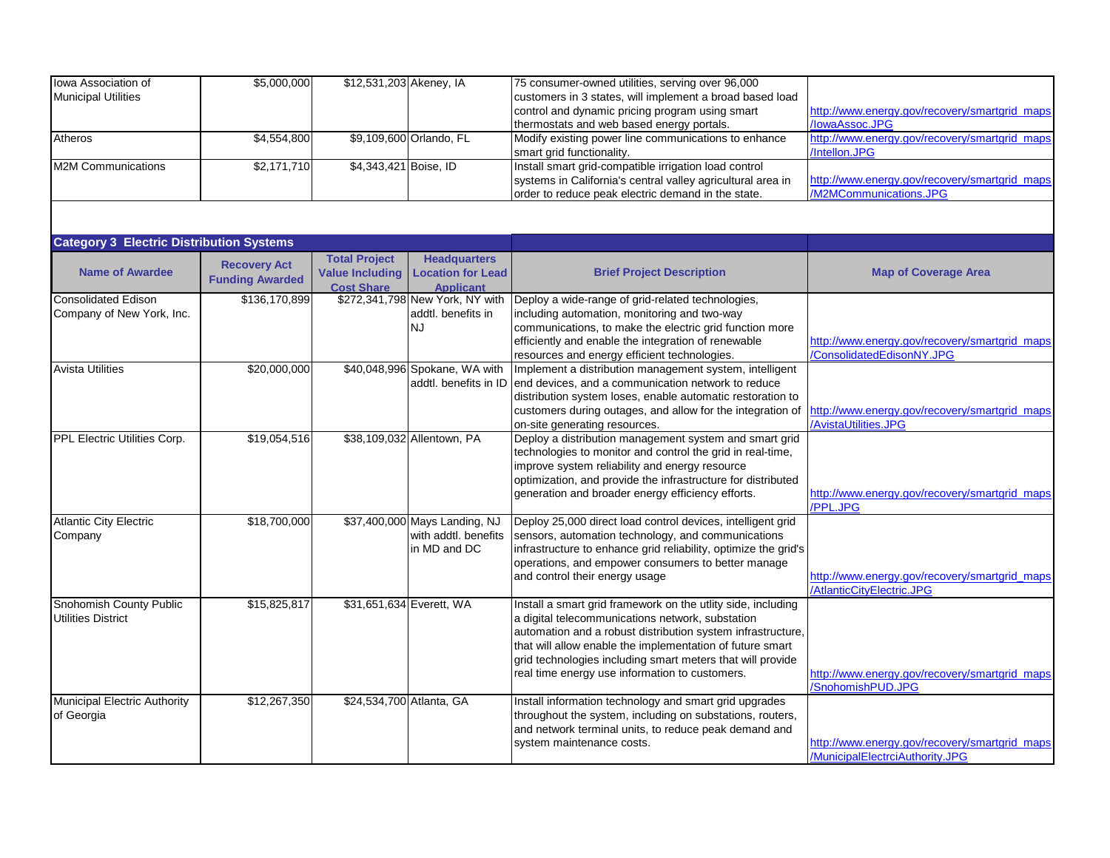| Iowa Association of                             | \$5,000,000            | \$12,531,203 Akeney, IA  |                                 | 75 consumer-owned utilities, serving over 96,000                |                                               |
|-------------------------------------------------|------------------------|--------------------------|---------------------------------|-----------------------------------------------------------------|-----------------------------------------------|
| <b>Municipal Utilities</b>                      |                        |                          |                                 | customers in 3 states, will implement a broad based load        |                                               |
|                                                 |                        |                          |                                 | control and dynamic pricing program using smart                 | http://www.energy.gov/recovery/smartgrid maps |
|                                                 |                        |                          |                                 | thermostats and web based energy portals.                       | /lowaAssoc.JPG                                |
| Atheros                                         | \$4,554,800            |                          | \$9,109,600 Orlando, FL         | Modify existing power line communications to enhance            | http://www.energy.gov/recovery/smartgrid_maps |
|                                                 |                        |                          |                                 | smart grid functionality.                                       | /Intellon.JPG                                 |
| <b>M2M Communications</b>                       | \$2,171,710            | \$4,343,421 Boise, ID    |                                 | Install smart grid-compatible irrigation load control           |                                               |
|                                                 |                        |                          |                                 | systems in California's central valley agricultural area in     | http://www.energy.gov/recovery/smartgrid_maps |
|                                                 |                        |                          |                                 | order to reduce peak electric demand in the state.              | /M2MCommunications.JPG                        |
|                                                 |                        |                          |                                 |                                                                 |                                               |
| <b>Category 3 Electric Distribution Systems</b> |                        |                          |                                 |                                                                 |                                               |
|                                                 |                        | <b>Total Project</b>     | <b>Headquarters</b>             |                                                                 |                                               |
| <b>Name of Awardee</b>                          | <b>Recovery Act</b>    | <b>Value Including</b>   | <b>Location for Lead</b>        | <b>Brief Project Description</b>                                | <b>Map of Coverage Area</b>                   |
|                                                 | <b>Funding Awarded</b> | <b>Cost Share</b>        | <b>Applicant</b>                |                                                                 |                                               |
| <b>Consolidated Edison</b>                      | \$136,170,899          |                          | \$272,341,798 New York, NY with | Deploy a wide-range of grid-related technologies,               |                                               |
|                                                 |                        |                          |                                 |                                                                 |                                               |
| Company of New York, Inc.                       |                        |                          | addtl. benefits in              | including automation, monitoring and two-way                    |                                               |
|                                                 |                        |                          | NJ                              | communications, to make the electric grid function more         |                                               |
|                                                 |                        |                          |                                 | efficiently and enable the integration of renewable             | http://www.energy.gov/recovery/smartgrid maps |
|                                                 |                        |                          |                                 | resources and energy efficient technologies.                    | /ConsolidatedEdisonNY.JPG                     |
| <b>Avista Utilities</b>                         | \$20,000,000           |                          | \$40,048,996 Spokane, WA with   | Implement a distribution management system, intelligent         |                                               |
|                                                 |                        |                          | addtl. benefits in ID           | end devices, and a communication network to reduce              |                                               |
|                                                 |                        |                          |                                 | distribution system loses, enable automatic restoration to      |                                               |
|                                                 |                        |                          |                                 | customers during outages, and allow for the integration of      | http://www.energy.gov/recovery/smartgrid maps |
|                                                 |                        |                          |                                 | on-site generating resources.                                   | /AvistaUtilities.JPG                          |
| PPL Electric Utilities Corp.                    | \$19,054,516           |                          | \$38,109,032 Allentown, PA      | Deploy a distribution management system and smart grid          |                                               |
|                                                 |                        |                          |                                 | technologies to monitor and control the grid in real-time,      |                                               |
|                                                 |                        |                          |                                 | improve system reliability and energy resource                  |                                               |
|                                                 |                        |                          |                                 | optimization, and provide the infrastructure for distributed    |                                               |
|                                                 |                        |                          |                                 | generation and broader energy efficiency efforts.               | http://www.energy.gov/recovery/smartgrid maps |
|                                                 |                        |                          |                                 |                                                                 | /PPL.JPG                                      |
| <b>Atlantic City Electric</b>                   | \$18,700,000           |                          | \$37,400,000 Mays Landing, NJ   | Deploy 25,000 direct load control devices, intelligent grid     |                                               |
|                                                 |                        |                          | with addtl. benefits            |                                                                 |                                               |
| Company                                         |                        |                          |                                 | sensors, automation technology, and communications              |                                               |
|                                                 |                        |                          | in MD and DC                    | infrastructure to enhance grid reliability, optimize the grid's |                                               |
|                                                 |                        |                          |                                 | operations, and empower consumers to better manage              |                                               |
|                                                 |                        |                          |                                 | and control their energy usage                                  | http://www.energy.gov/recovery/smartgrid maps |
|                                                 |                        |                          |                                 |                                                                 | /AtlanticCityElectric.JPG                     |
| Snohomish County Public                         | \$15,825,817           | \$31,651,634 Everett, WA |                                 | Install a smart grid framework on the utlity side, including    |                                               |
| Utilities District                              |                        |                          |                                 | a digital telecommunications network, substation                |                                               |
|                                                 |                        |                          |                                 | automation and a robust distribution system infrastructure,     |                                               |
|                                                 |                        |                          |                                 | that will allow enable the implementation of future smart       |                                               |
|                                                 |                        |                          |                                 | grid technologies including smart meters that will provide      |                                               |
|                                                 |                        |                          |                                 | real time energy use information to customers.                  | http://www.energy.gov/recovery/smartgrid_maps |
|                                                 |                        |                          |                                 |                                                                 | /SnohomishPUD.JPG                             |
| <b>Municipal Electric Authority</b>             | \$12,267,350           | \$24,534,700 Atlanta, GA |                                 | Install information technology and smart grid upgrades          |                                               |
| of Georgia                                      |                        |                          |                                 | throughout the system, including on substations, routers,       |                                               |
|                                                 |                        |                          |                                 | and network terminal units, to reduce peak demand and           |                                               |
|                                                 |                        |                          |                                 |                                                                 |                                               |
|                                                 |                        |                          |                                 | system maintenance costs.                                       | http://www.energy.gov/recovery/smartgrid_maps |
|                                                 |                        |                          |                                 |                                                                 | /MunicipalElectrciAuthority.JPG               |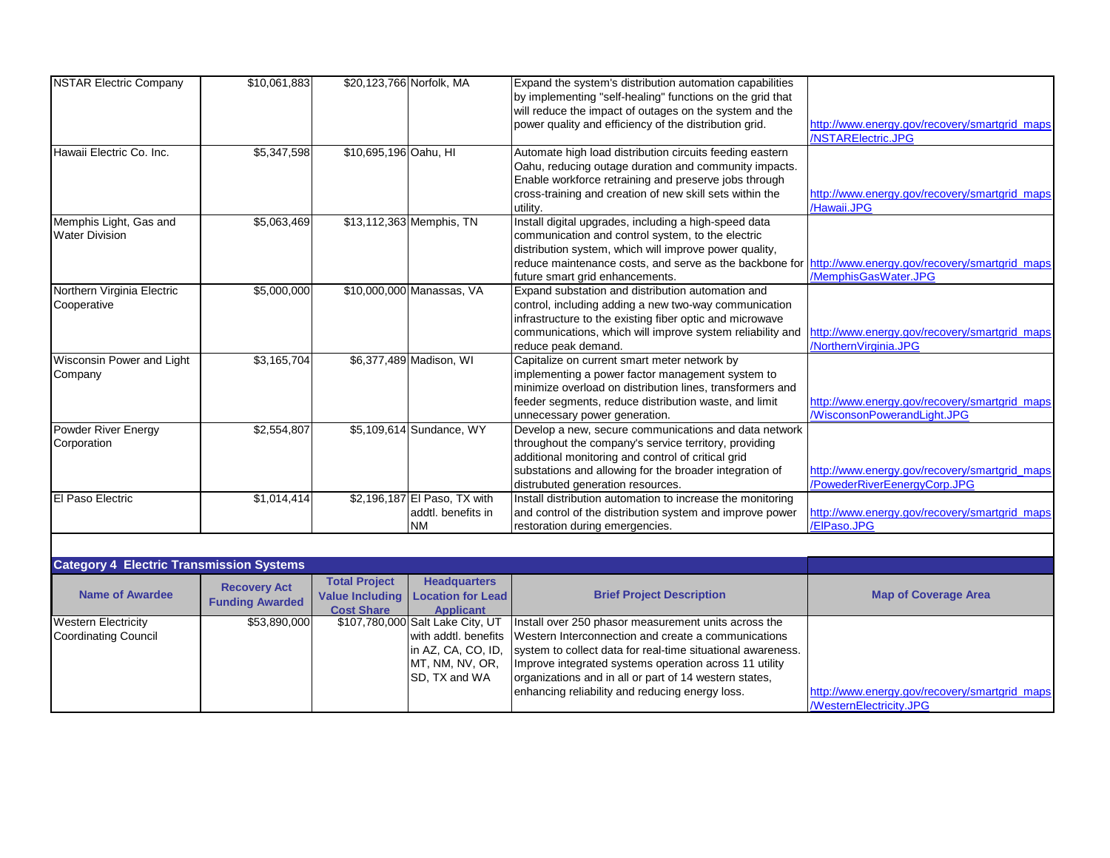| <b>NSTAR Electric Company</b>                             | \$10,061,883                                  | \$20,123,766 Norfolk, MA                                            |                                                                                                                    | Expand the system's distribution automation capabilities<br>by implementing "self-healing" functions on the grid that<br>will reduce the impact of outages on the system and the<br>power quality and efficiency of the distribution grid.                                                                                                        | http://www.energy.gov/recovery/smartgrid_maps<br><b>/NSTARElectric.JPG</b>    |
|-----------------------------------------------------------|-----------------------------------------------|---------------------------------------------------------------------|--------------------------------------------------------------------------------------------------------------------|---------------------------------------------------------------------------------------------------------------------------------------------------------------------------------------------------------------------------------------------------------------------------------------------------------------------------------------------------|-------------------------------------------------------------------------------|
| Hawaii Electric Co. Inc.                                  | \$5,347,598                                   | \$10,695,196 Oahu, HI                                               |                                                                                                                    | Automate high load distribution circuits feeding eastern<br>Oahu, reducing outage duration and community impacts.<br>Enable workforce retraining and preserve jobs through<br>cross-training and creation of new skill sets within the<br>utility.                                                                                                | http://www.energy.gov/recovery/smartgrid_maps<br>/Hawaii.JPG                  |
| Memphis Light, Gas and<br><b>Water Division</b>           | \$5,063,469                                   |                                                                     | \$13,112,363 Memphis, TN                                                                                           | Install digital upgrades, including a high-speed data<br>communication and control system, to the electric<br>distribution system, which will improve power quality,<br>reduce maintenance costs, and serve as the backbone for http://www.energy.gov/recovery/smartgrid_maps<br>future smart grid enhancements.                                  | /MemphisGasWater.JPG                                                          |
| Northern Virginia Electric<br>Cooperative                 | \$5,000,000                                   |                                                                     | \$10,000,000 Manassas, VA                                                                                          | Expand substation and distribution automation and<br>control, including adding a new two-way communication<br>infrastructure to the existing fiber optic and microwave<br>communications, which will improve system reliability and<br>reduce peak demand.                                                                                        | http://www.energy.gov/recovery/smartgrid_maps<br>/NorthernVirginia.JPG        |
| Wisconsin Power and Light<br>Company                      | \$3,165,704                                   |                                                                     | \$6,377,489 Madison, WI                                                                                            | Capitalize on current smart meter network by<br>implementing a power factor management system to<br>minimize overload on distribution lines, transformers and<br>feeder segments, reduce distribution waste, and limit<br>unnecessary power generation.                                                                                           | http://www.energy.gov/recovery/smartgrid_maps<br>/WisconsonPowerandLight.JPG  |
| Powder River Energy<br>Corporation                        | \$2,554,807                                   |                                                                     | \$5,109,614 Sundance, WY                                                                                           | Develop a new, secure communications and data network<br>throughout the company's service territory, providing<br>additional monitoring and control of critical grid<br>substations and allowing for the broader integration of<br>distrubuted generation resources.                                                                              | http://www.energy.gov/recovery/smartgrid_maps<br>/PowederRiverEenergyCorp.JPG |
| El Paso Electric                                          | \$1,014,414                                   |                                                                     | \$2,196,187 El Paso, TX with<br>addtl. benefits in<br><b>NM</b>                                                    | Install distribution automation to increase the monitoring<br>and control of the distribution system and improve power<br>restoration during emergencies.                                                                                                                                                                                         | http://www.energy.gov/recovery/smartgrid_maps<br>/EIPaso.JPG                  |
|                                                           |                                               |                                                                     |                                                                                                                    |                                                                                                                                                                                                                                                                                                                                                   |                                                                               |
| <b>Category 4 Electric Transmission Systems</b>           |                                               |                                                                     |                                                                                                                    |                                                                                                                                                                                                                                                                                                                                                   |                                                                               |
| <b>Name of Awardee</b>                                    | <b>Recovery Act</b><br><b>Funding Awarded</b> | <b>Total Project</b><br><b>Value Including</b><br><b>Cost Share</b> | <b>Headquarters</b><br><b>Location for Lead</b><br><b>Applicant</b>                                                | <b>Brief Project Description</b>                                                                                                                                                                                                                                                                                                                  | <b>Map of Coverage Area</b>                                                   |
| <b>Western Electricity</b><br><b>Coordinating Council</b> | \$53,890,000                                  |                                                                     | \$107,780,000 Salt Lake City, UT<br>with addtl. benefits<br>in AZ, CA, CO, ID,<br>MT, NM, NV, OR,<br>SD, TX and WA | Install over 250 phasor measurement units across the<br>Western Interconnection and create a communications<br>system to collect data for real-time situational awareness.<br>Improve integrated systems operation across 11 utility<br>organizations and in all or part of 14 western states,<br>enhancing reliability and reducing energy loss. | http://www.energy.gov/recovery/smartgrid_maps<br>WesternElectricity.JPG       |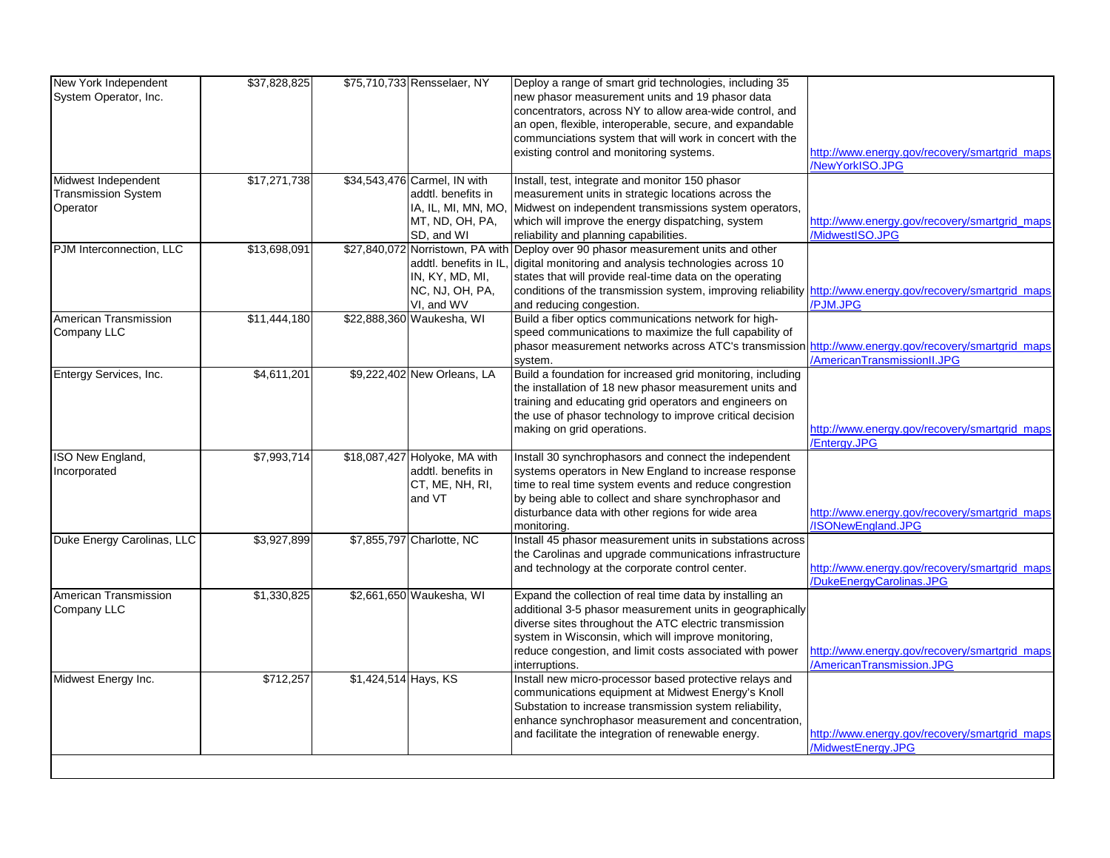| New York Independent<br>System Operator, Inc.                 | \$37,828,825 |                      | \$75,710,733 Rensselaer, NY                                                                                    | Deploy a range of smart grid technologies, including 35<br>new phasor measurement units and 19 phasor data<br>concentrators, across NY to allow area-wide control, and<br>an open, flexible, interoperable, secure, and expandable<br>communciations system that will work in concert with the<br>existing control and monitoring systems. | http://www.energy.gov/recovery/smartgrid_maps<br>/NewYorkISO.JPG          |
|---------------------------------------------------------------|--------------|----------------------|----------------------------------------------------------------------------------------------------------------|--------------------------------------------------------------------------------------------------------------------------------------------------------------------------------------------------------------------------------------------------------------------------------------------------------------------------------------------|---------------------------------------------------------------------------|
| Midwest Independent<br><b>Transmission System</b><br>Operator | \$17,271,738 |                      | \$34,543,476 Carmel, IN with<br>addtl. benefits in<br>IA, IL, MI, MN, MO,<br>MT, ND, OH, PA,<br>SD, and WI     | Install, test, integrate and monitor 150 phasor<br>measurement units in strategic locations across the<br>Midwest on independent transmissions system operators,<br>which will improve the energy dispatching, system<br>reliability and planning capabilities.                                                                            | http://www.energy.gov/recovery/smartgrid_maps<br>/MidwestISO.JPG          |
| PJM Interconnection, LLC                                      | \$13,698,091 |                      | \$27,840,072 Norristown, PA with<br>addtl. benefits in IL,<br>IN, KY, MD, MI,<br>NC, NJ, OH, PA,<br>VI, and WV | Deploy over 90 phasor measurement units and other<br>digital monitoring and analysis technologies across 10<br>states that will provide real-time data on the operating<br>conditions of the transmission system, improving reliability http://www.energy.gov/recovery/smartgrid_maps<br>and reducing congestion.                          | /PJM.JPG                                                                  |
| American Transmission<br>Company LLC                          | \$11,444,180 |                      | \$22,888,360 Waukesha, WI                                                                                      | Build a fiber optics communications network for high-<br>speed communications to maximize the full capability of<br>phasor measurement networks across ATC's transmission http://www.energy.gov/recovery/smartgrid_maps<br>system.                                                                                                         | /AmericanTransmissionII.JPG                                               |
| Entergy Services, Inc.                                        | \$4,611,201  |                      | \$9,222,402 New Orleans, LA                                                                                    | Build a foundation for increased grid monitoring, including<br>the installation of 18 new phasor measurement units and<br>training and educating grid operators and engineers on<br>the use of phasor technology to improve critical decision<br>making on grid operations.                                                                | http://www.energy.gov/recovery/smartgrid maps<br><b>Entergy.JPG</b>       |
| ISO New England,<br>Incorporated                              | \$7,993,714  |                      | \$18,087,427 Holyoke, MA with<br>addtl. benefits in<br>CT, ME, NH, RI,<br>and VT                               | Install 30 synchrophasors and connect the independent<br>systems operators in New England to increase response<br>time to real time system events and reduce congrestion<br>by being able to collect and share synchrophasor and<br>disturbance data with other regions for wide area<br>monitoring.                                       | http://www.energy.gov/recovery/smartgrid maps<br><b>ISONewEngland.JPG</b> |
| Duke Energy Carolinas, LLC                                    | \$3,927,899  |                      | \$7,855,797 Charlotte, NC                                                                                      | Install 45 phasor measurement units in substations across<br>the Carolinas and upgrade communications infrastructure<br>and technology at the corporate control center.                                                                                                                                                                    | http://www.energy.gov/recovery/smartgrid_maps<br>/DukeEnergyCarolinas.JPG |
| American Transmission<br>Company LLC                          | \$1,330,825  |                      | \$2,661,650 Waukesha, WI                                                                                       | Expand the collection of real time data by installing an<br>additional 3-5 phasor measurement units in geographically<br>diverse sites throughout the ATC electric transmission<br>system in Wisconsin, which will improve monitoring,<br>reduce congestion, and limit costs associated with power<br>interruptions.                       | http://www.energy.gov/recovery/smartgrid_maps<br>AmericanTransmission.JPG |
| Midwest Energy Inc.                                           | \$712,257    | \$1,424,514 Hays, KS |                                                                                                                | Install new micro-processor based protective relays and<br>communications equipment at Midwest Energy's Knoll<br>Substation to increase transmission system reliability,<br>enhance synchrophasor measurement and concentration,<br>and facilitate the integration of renewable energy.                                                    | http://www.energy.gov/recovery/smartgrid_maps<br>MidwestEnergy.JPG        |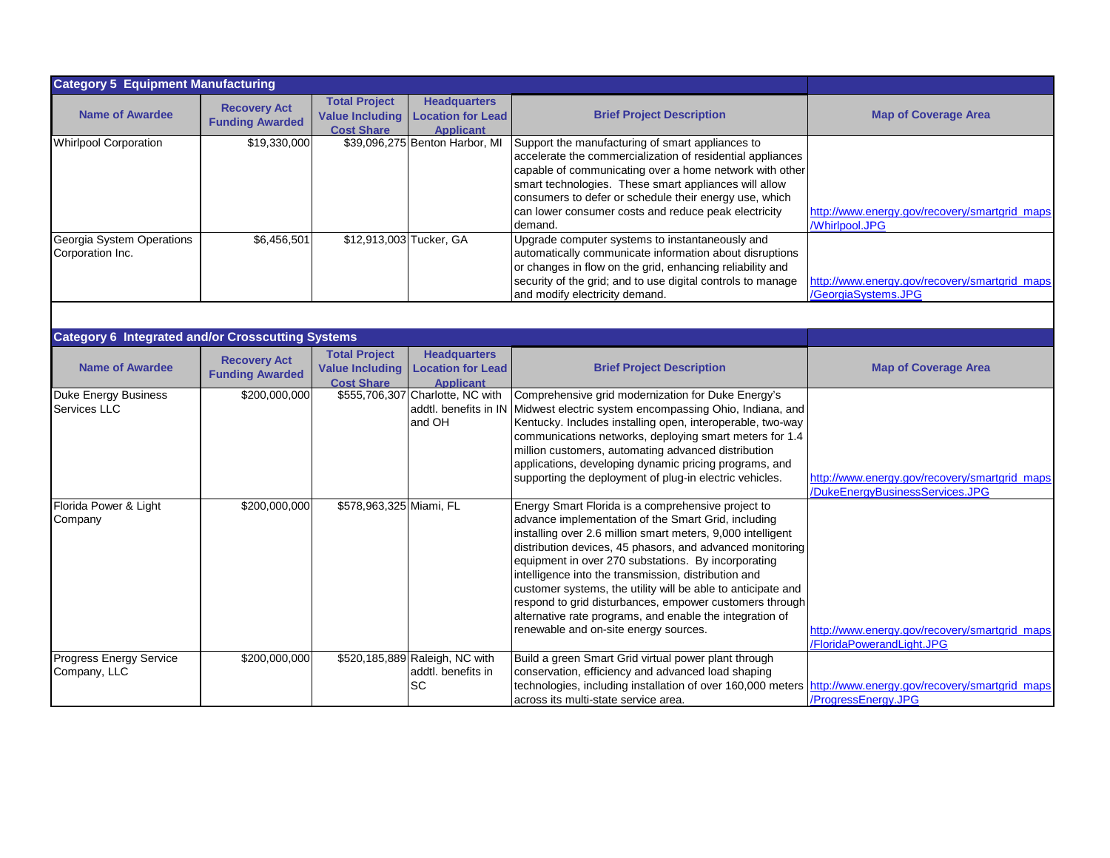| <b>Category 5 Equipment Manufacturing</b>                |                                               |                                                                     |                                                                     |                                                                                                                                                                                                                                                                                                                                                                                                                                                                                                                                                                                      |                                                                                  |  |  |  |
|----------------------------------------------------------|-----------------------------------------------|---------------------------------------------------------------------|---------------------------------------------------------------------|--------------------------------------------------------------------------------------------------------------------------------------------------------------------------------------------------------------------------------------------------------------------------------------------------------------------------------------------------------------------------------------------------------------------------------------------------------------------------------------------------------------------------------------------------------------------------------------|----------------------------------------------------------------------------------|--|--|--|
| <b>Name of Awardee</b>                                   | <b>Recovery Act</b><br><b>Funding Awarded</b> | <b>Total Project</b><br><b>Value Including</b><br><b>Cost Share</b> | <b>Headquarters</b><br><b>Location for Lead</b><br><b>Applicant</b> | <b>Brief Project Description</b>                                                                                                                                                                                                                                                                                                                                                                                                                                                                                                                                                     | <b>Map of Coverage Area</b>                                                      |  |  |  |
| <b>Whirlpool Corporation</b>                             | \$19,330,000                                  |                                                                     | \$39,096,275 Benton Harbor, MI                                      | Support the manufacturing of smart appliances to<br>accelerate the commercialization of residential appliances<br>capable of communicating over a home network with other<br>smart technologies. These smart appliances will allow<br>consumers to defer or schedule their energy use, which<br>can lower consumer costs and reduce peak electricity<br>demand.                                                                                                                                                                                                                      | http://www.energy.gov/recovery/smartgrid maps<br>/Whirlpool.JPG                  |  |  |  |
| Georgia System Operations<br>Corporation Inc.            | \$6,456,501                                   | \$12,913,003 Tucker, GA                                             |                                                                     | Upgrade computer systems to instantaneously and<br>automatically communicate information about disruptions<br>or changes in flow on the grid, enhancing reliability and<br>security of the grid; and to use digital controls to manage<br>and modify electricity demand.                                                                                                                                                                                                                                                                                                             | http://www.energy.gov/recovery/smartgrid_maps<br>/GeorgiaSystems.JPG             |  |  |  |
|                                                          |                                               |                                                                     |                                                                     |                                                                                                                                                                                                                                                                                                                                                                                                                                                                                                                                                                                      |                                                                                  |  |  |  |
| <b>Category 6 Integrated and/or Crosscutting Systems</b> |                                               |                                                                     |                                                                     |                                                                                                                                                                                                                                                                                                                                                                                                                                                                                                                                                                                      |                                                                                  |  |  |  |
| <b>Name of Awardee</b>                                   | <b>Recovery Act</b><br><b>Funding Awarded</b> | <b>Total Project</b><br><b>Value Including</b><br><b>Cost Share</b> | <b>Headquarters</b><br><b>Location for Lead</b><br><b>Applicant</b> | <b>Brief Project Description</b>                                                                                                                                                                                                                                                                                                                                                                                                                                                                                                                                                     | <b>Map of Coverage Area</b>                                                      |  |  |  |
| Duke Energy Business<br>Services LLC                     | \$200,000,000                                 |                                                                     | \$555,706,307 Charlotte, NC with<br>addtl. benefits in IN<br>and OH | Comprehensive grid modernization for Duke Energy's<br>Midwest electric system encompassing Ohio, Indiana, and<br>Kentucky. Includes installing open, interoperable, two-way<br>communications networks, deploying smart meters for 1.4<br>million customers, automating advanced distribution<br>applications, developing dynamic pricing programs, and<br>supporting the deployment of plug-in electric vehicles.                                                                                                                                                                   | http://www.energy.gov/recovery/smartgrid_maps<br>/DukeEnergyBusinessServices.JPG |  |  |  |
| Florida Power & Light<br>Company                         | \$200,000,000                                 | \$578,963,325 Miami, FL                                             |                                                                     | Energy Smart Florida is a comprehensive project to<br>advance implementation of the Smart Grid, including<br>installing over 2.6 million smart meters, 9,000 intelligent<br>distribution devices, 45 phasors, and advanced monitoring<br>equipment in over 270 substations. By incorporating<br>intelligence into the transmission, distribution and<br>customer systems, the utility will be able to anticipate and<br>respond to grid disturbances, empower customers through<br>alternative rate programs, and enable the integration of<br>renewable and on-site energy sources. | http://www.energy.gov/recovery/smartgrid_maps<br>/FloridaPowerandLight.JPG       |  |  |  |
| <b>Progress Energy Service</b><br>Company, LLC           | \$200,000,000                                 |                                                                     | \$520,185,889 Raleigh, NC with<br>addtl. benefits in<br><b>SC</b>   | Build a green Smart Grid virtual power plant through<br>conservation, efficiency and advanced load shaping<br>technologies, including installation of over 160,000 meters<br>across its multi-state service area.                                                                                                                                                                                                                                                                                                                                                                    | http://www.energy.gov/recovery/smartgrid maps<br>/ProgressEnergy.JPG             |  |  |  |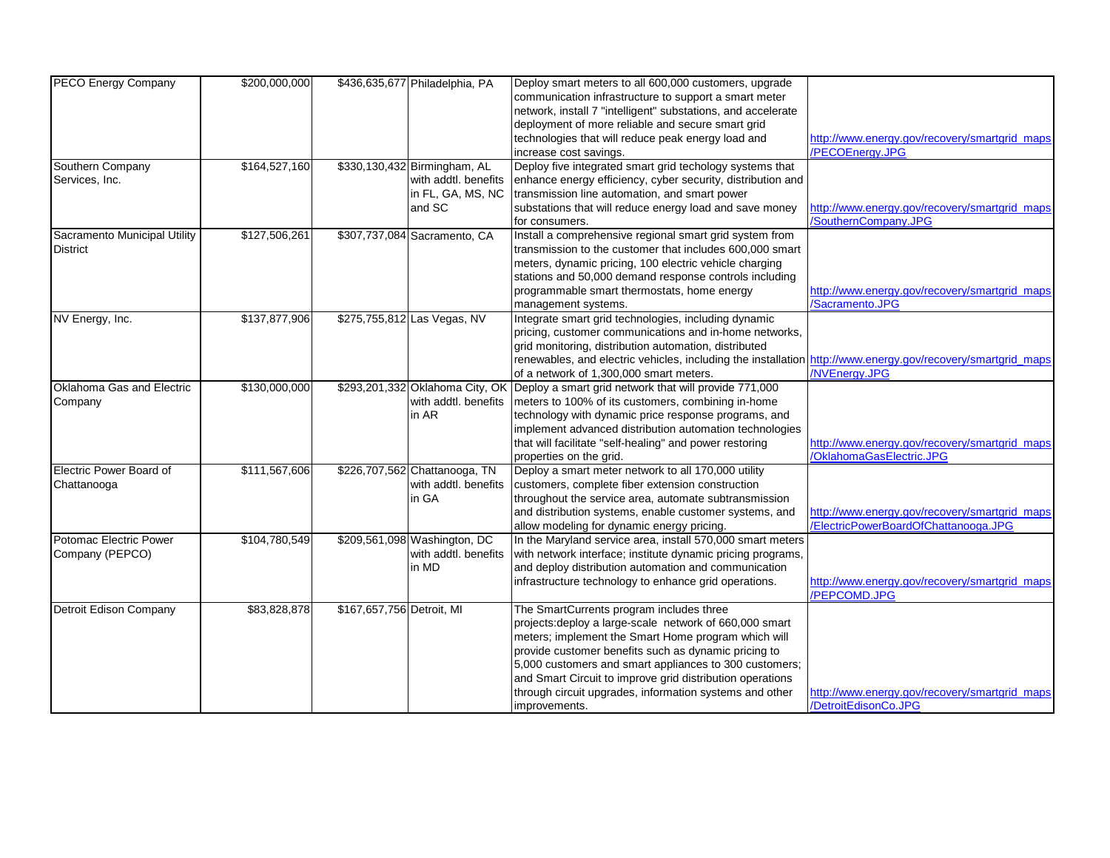| <b>PECO Energy Company</b>   | \$200,000,000 |                           | \$436,635,677 Philadelphia, PA | Deploy smart meters to all 600,000 customers, upgrade                                 |                                               |
|------------------------------|---------------|---------------------------|--------------------------------|---------------------------------------------------------------------------------------|-----------------------------------------------|
|                              |               |                           |                                | communication infrastructure to support a smart meter                                 |                                               |
|                              |               |                           |                                | network, install 7 "intelligent" substations, and accelerate                          |                                               |
|                              |               |                           |                                | deployment of more reliable and secure smart grid                                     |                                               |
|                              |               |                           |                                | technologies that will reduce peak energy load and                                    | http://www.energy.gov/recovery/smartgrid_maps |
|                              |               |                           |                                | increase cost savings.                                                                | /PECOEnergy.JPG                               |
| Southern Company             | \$164,527,160 |                           | \$330,130,432 Birmingham, AL   | Deploy five integrated smart grid techology systems that                              |                                               |
| Services, Inc.               |               |                           | with addtl. benefits           | enhance energy efficiency, cyber security, distribution and                           |                                               |
|                              |               |                           | in FL, GA, MS, NC              | transmission line automation, and smart power                                         |                                               |
|                              |               |                           | and SC                         | substations that will reduce energy load and save money                               | http://www.energy.gov/recovery/smartgrid_maps |
|                              |               |                           |                                | for consumers.                                                                        | SouthernCompany.JPG                           |
| Sacramento Municipal Utility | \$127,506,261 |                           | \$307,737,084 Sacramento, CA   | Install a comprehensive regional smart grid system from                               |                                               |
| <b>District</b>              |               |                           |                                | transmission to the customer that includes 600,000 smart                              |                                               |
|                              |               |                           |                                | meters, dynamic pricing, 100 electric vehicle charging                                |                                               |
|                              |               |                           |                                | stations and 50,000 demand response controls including                                |                                               |
|                              |               |                           |                                | programmable smart thermostats, home energy                                           | http://www.energy.gov/recovery/smartgrid maps |
|                              |               |                           |                                | management systems.                                                                   | Sacramento.JPG                                |
| NV Energy, Inc.              | \$137,877,906 |                           | \$275,755,812 Las Vegas, NV    | Integrate smart grid technologies, including dynamic                                  |                                               |
|                              |               |                           |                                | pricing, customer communications and in-home networks,                                |                                               |
|                              |               |                           |                                | grid monitoring, distribution automation, distributed                                 |                                               |
|                              |               |                           |                                | renewables, and electric vehicles, including the installation                         | http://www.energy.gov/recovery/smartgrid_maps |
|                              |               |                           |                                | of a network of 1,300,000 smart meters.                                               | /NVEnergy.JPG                                 |
| Oklahoma Gas and Electric    | \$130,000,000 |                           |                                | \$293,201,332 Oklahoma City, OK Deploy a smart grid network that will provide 771,000 |                                               |
| Company                      |               |                           | with addtl. benefits           | meters to 100% of its customers, combining in-home                                    |                                               |
|                              |               |                           | in AR                          | technology with dynamic price response programs, and                                  |                                               |
|                              |               |                           |                                | implement advanced distribution automation technologies                               |                                               |
|                              |               |                           |                                | that will facilitate "self-healing" and power restoring                               | http://www.energy.gov/recovery/smartgrid_maps |
|                              |               |                           |                                | properties on the grid.                                                               | <b>OklahomaGasElectric.JPG</b>                |
| Electric Power Board of      | \$111,567,606 |                           | \$226,707,562 Chattanooga, TN  | Deploy a smart meter network to all 170,000 utility                                   |                                               |
| Chattanooga                  |               |                           | with addtl. benefits           | customers, complete fiber extension construction                                      |                                               |
|                              |               |                           | in GA                          | throughout the service area, automate subtransmission                                 |                                               |
|                              |               |                           |                                | and distribution systems, enable customer systems, and                                | http://www.energy.gov/recovery/smartgrid maps |
|                              |               |                           |                                | allow modeling for dynamic energy pricing.                                            | /ElectricPowerBoardOfChattanooga.JPG          |
| Potomac Electric Power       | \$104,780,549 |                           | \$209,561,098 Washington, DC   | In the Maryland service area, install 570,000 smart meters                            |                                               |
| Company (PEPCO)              |               |                           | with addtl. benefits           | with network interface; institute dynamic pricing programs,                           |                                               |
|                              |               |                           | in MD                          | and deploy distribution automation and communication                                  |                                               |
|                              |               |                           |                                | infrastructure technology to enhance grid operations.                                 | http://www.energy.gov/recovery/smartgrid_maps |
|                              |               |                           |                                |                                                                                       | /PEPCOMD.JPG                                  |
| Detroit Edison Company       | \$83,828,878  | \$167,657,756 Detroit, MI |                                | The SmartCurrents program includes three                                              |                                               |
|                              |               |                           |                                | projects: deploy a large-scale network of 660,000 smart                               |                                               |
|                              |               |                           |                                | meters; implement the Smart Home program which will                                   |                                               |
|                              |               |                           |                                | provide customer benefits such as dynamic pricing to                                  |                                               |
|                              |               |                           |                                | 5,000 customers and smart appliances to 300 customers;                                |                                               |
|                              |               |                           |                                | and Smart Circuit to improve grid distribution operations                             |                                               |
|                              |               |                           |                                | through circuit upgrades, information systems and other                               | http://www.energy.gov/recovery/smartgrid_maps |
|                              |               |                           |                                | improvements.                                                                         | /DetroitEdisonCo.JPG                          |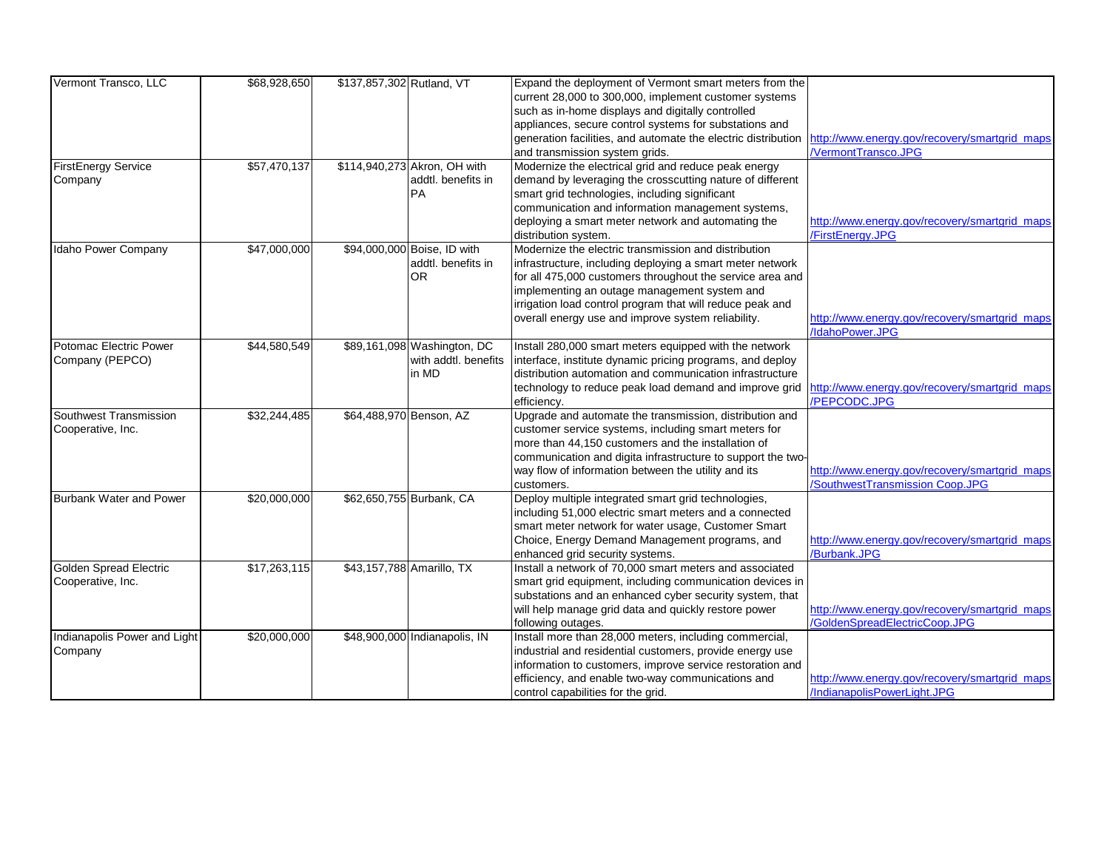| Vermont Transco, LLC           | \$68,928,650 | \$137,857,302 Rutland, VT |                               | Expand the deployment of Vermont smart meters from the        |                                               |
|--------------------------------|--------------|---------------------------|-------------------------------|---------------------------------------------------------------|-----------------------------------------------|
|                                |              |                           |                               | current 28,000 to 300,000, implement customer systems         |                                               |
|                                |              |                           |                               | such as in-home displays and digitally controlled             |                                               |
|                                |              |                           |                               | appliances, secure control systems for substations and        |                                               |
|                                |              |                           |                               | generation facilities, and automate the electric distribution | http://www.energy.gov/recovery/smartgrid_maps |
|                                |              |                           |                               | and transmission system grids.                                | <b>VermontTransco.JPG</b>                     |
| <b>FirstEnergy Service</b>     | \$57,470,137 |                           | \$114,940,273 Akron, OH with  | Modernize the electrical grid and reduce peak energy          |                                               |
| Company                        |              |                           | addtl. benefits in            | demand by leveraging the crosscutting nature of different     |                                               |
|                                |              |                           | PA                            | smart grid technologies, including significant                |                                               |
|                                |              |                           |                               | communication and information management systems,             |                                               |
|                                |              |                           |                               | deploying a smart meter network and automating the            | http://www.energy.gov/recovery/smartgrid_maps |
|                                |              |                           |                               | distribution system.                                          | /FirstEnergy.JPG                              |
| Idaho Power Company            | \$47,000,000 |                           | \$94,000,000 Boise, ID with   | Modernize the electric transmission and distribution          |                                               |
|                                |              |                           | addtl. benefits in            | infrastructure, including deploying a smart meter network     |                                               |
|                                |              |                           | <b>OR</b>                     | for all 475,000 customers throughout the service area and     |                                               |
|                                |              |                           |                               | implementing an outage management system and                  |                                               |
|                                |              |                           |                               | irrigation load control program that will reduce peak and     |                                               |
|                                |              |                           |                               | overall energy use and improve system reliability.            | http://www.energy.gov/recovery/smartgrid_maps |
|                                |              |                           |                               |                                                               | /IdahoPower.JPG                               |
| Potomac Electric Power         | \$44,580,549 |                           | \$89,161,098 Washington, DC   | Install 280,000 smart meters equipped with the network        |                                               |
| Company (PEPCO)                |              |                           | with addtl. benefits          | interface, institute dynamic pricing programs, and deploy     |                                               |
|                                |              |                           | in MD                         | distribution automation and communication infrastructure      |                                               |
|                                |              |                           |                               | technology to reduce peak load demand and improve grid        | http://www.energy.gov/recovery/smartgrid_maps |
|                                |              |                           |                               | efficiency.                                                   | /PEPCODC.JPG                                  |
| Southwest Transmission         | \$32,244,485 | \$64,488,970 Benson, AZ   |                               | Upgrade and automate the transmission, distribution and       |                                               |
| Cooperative, Inc.              |              |                           |                               | customer service systems, including smart meters for          |                                               |
|                                |              |                           |                               | more than 44,150 customers and the installation of            |                                               |
|                                |              |                           |                               | communication and digita infrastructure to support the two-   |                                               |
|                                |              |                           |                               | way flow of information between the utility and its           | http://www.energy.gov/recovery/smartgrid maps |
|                                |              |                           |                               | customers.                                                    | <b>SouthwestTransmission Coop.JPG</b>         |
| <b>Burbank Water and Power</b> | \$20,000,000 |                           | \$62,650,755 Burbank, CA      | Deploy multiple integrated smart grid technologies,           |                                               |
|                                |              |                           |                               | including 51,000 electric smart meters and a connected        |                                               |
|                                |              |                           |                               | smart meter network for water usage, Customer Smart           |                                               |
|                                |              |                           |                               | Choice, Energy Demand Management programs, and                | http://www.energy.gov/recovery/smartgrid_maps |
|                                |              |                           |                               | enhanced grid security systems.                               | /Burbank.JPG                                  |
| <b>Golden Spread Electric</b>  | \$17,263,115 |                           | \$43,157,788 Amarillo, TX     | Install a network of 70,000 smart meters and associated       |                                               |
| Cooperative, Inc.              |              |                           |                               | smart grid equipment, including communication devices in      |                                               |
|                                |              |                           |                               | substations and an enhanced cyber security system, that       |                                               |
|                                |              |                           |                               | will help manage grid data and quickly restore power          | http://www.energy.gov/recovery/smartgrid_maps |
|                                |              |                           |                               | following outages.                                            | GoldenSpreadElectricCoop.JPG                  |
| Indianapolis Power and Light   | \$20,000,000 |                           | \$48,900,000 Indianapolis, IN | Install more than 28,000 meters, including commercial,        |                                               |
| Company                        |              |                           |                               | industrial and residential customers, provide energy use      |                                               |
|                                |              |                           |                               | information to customers, improve service restoration and     |                                               |
|                                |              |                           |                               | efficiency, and enable two-way communications and             | http://www.energy.gov/recovery/smartgrid_maps |
|                                |              |                           |                               | control capabilities for the grid.                            | /IndianapolisPowerLight.JPG                   |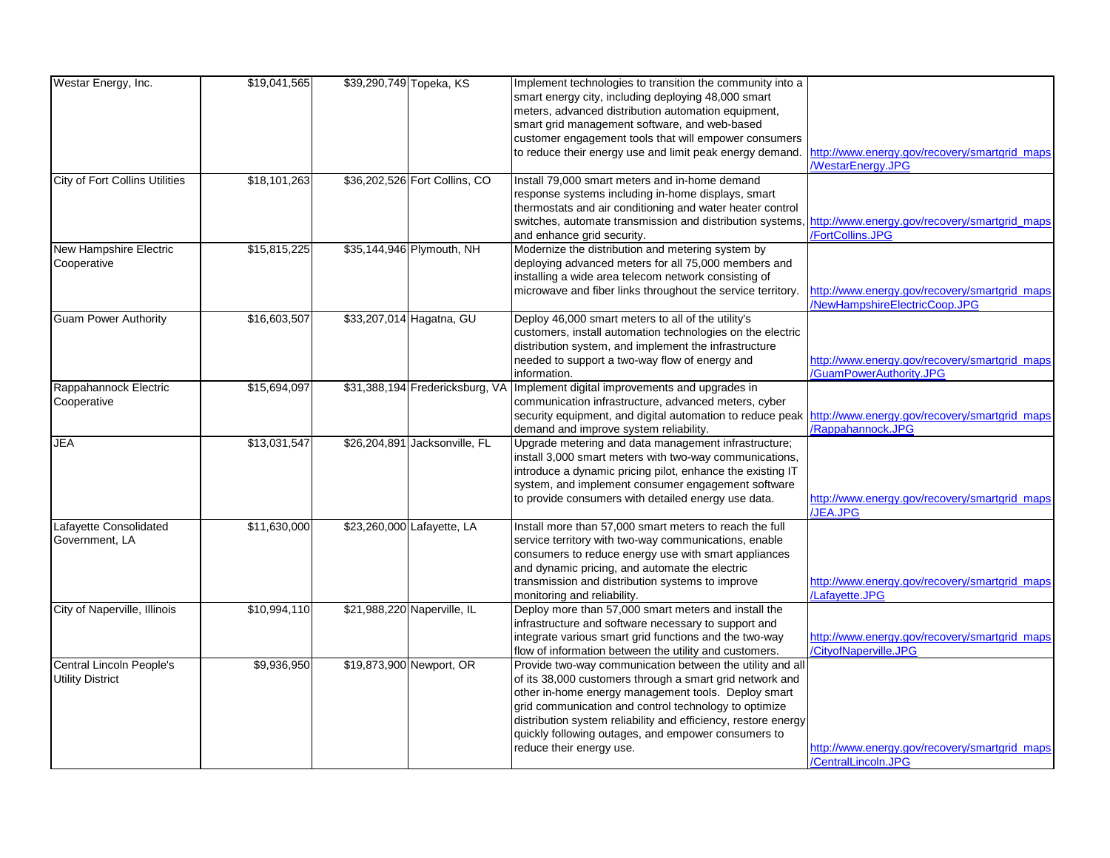| Westar Energy, Inc.                          | \$19,041,565 | \$39,290,749 Topeka, KS |                                 | Implement technologies to transition the community into a<br>smart energy city, including deploying 48,000 smart<br>meters, advanced distribution automation equipment,<br>smart grid management software, and web-based<br>customer engagement tools that will empower consumers<br>to reduce their energy use and limit peak energy demand.                                              | http://www.energy.gov/recovery/smartgrid_maps                                                      |
|----------------------------------------------|--------------|-------------------------|---------------------------------|--------------------------------------------------------------------------------------------------------------------------------------------------------------------------------------------------------------------------------------------------------------------------------------------------------------------------------------------------------------------------------------------|----------------------------------------------------------------------------------------------------|
| <b>City of Fort Collins Utilities</b>        | \$18,101,263 |                         | \$36,202,526 Fort Collins, CO   | Install 79,000 smart meters and in-home demand<br>response systems including in-home displays, smart<br>thermostats and air conditioning and water heater control<br>switches, automate transmission and distribution systems,<br>and enhance grid security.                                                                                                                               | <b>WestarEnergy.JPG</b><br>http://www.energy.gov/recovery/smartgrid_maps<br><b>FortCollins.JPG</b> |
| New Hampshire Electric<br>Cooperative        | \$15,815,225 |                         | \$35,144,946 Plymouth, NH       | Modernize the distribution and metering system by<br>deploying advanced meters for all 75,000 members and<br>installing a wide area telecom network consisting of<br>microwave and fiber links throughout the service territory.                                                                                                                                                           | http://www.energy.gov/recovery/smartgrid_maps<br>/NewHampshireElectricCoop.JPG                     |
| <b>Guam Power Authority</b>                  | \$16,603,507 |                         | \$33,207,014 Hagatna, GU        | Deploy 46,000 smart meters to all of the utility's<br>customers, install automation technologies on the electric<br>distribution system, and implement the infrastructure<br>needed to support a two-way flow of energy and<br>information.                                                                                                                                                | http://www.energy.gov/recovery/smartgrid_maps<br>GuamPowerAuthority.JPG                            |
| Rappahannock Electric<br>Cooperative         | \$15,694,097 |                         | \$31,388,194 Fredericksburg, VA | Implement digital improvements and upgrades in<br>communication infrastructure, advanced meters, cyber<br>security equipment, and digital automation to reduce peak<br>demand and improve system reliability.                                                                                                                                                                              | http://www.energy.gov/recovery/smartgrid_maps<br>Rappahannock.JPG                                  |
| <b>JEA</b>                                   | \$13,031,547 |                         | \$26,204,891 Jacksonville, FL   | Upgrade metering and data management infrastructure;<br>install 3,000 smart meters with two-way communications,<br>introduce a dynamic pricing pilot, enhance the existing IT<br>system, and implement consumer engagement software<br>to provide consumers with detailed energy use data.                                                                                                 | http://www.energy.gov/recovery/smartgrid maps<br><b>JEA.JPG</b>                                    |
| Lafayette Consolidated<br>Government, LA     | \$11,630,000 |                         | \$23,260,000 Lafayette, LA      | Install more than 57,000 smart meters to reach the full<br>service territory with two-way communications, enable<br>consumers to reduce energy use with smart appliances<br>and dynamic pricing, and automate the electric<br>transmission and distribution systems to improve<br>monitoring and reliability.                                                                              | http://www.energy.gov/recovery/smartgrid_maps<br>Lafayette.JPG                                     |
| City of Naperville, Illinois                 | \$10,994,110 |                         | \$21,988,220 Naperville, IL     | Deploy more than 57,000 smart meters and install the<br>infrastructure and software necessary to support and<br>integrate various smart grid functions and the two-way<br>flow of information between the utility and customers.                                                                                                                                                           | http://www.energy.gov/recovery/smartgrid_maps<br>/CityofNaperville.JPG                             |
| Central Lincoln People's<br>Utility District | \$9,936,950  |                         | \$19,873,900 Newport, OR        | Provide two-way communication between the utility and all<br>of its 38,000 customers through a smart grid network and<br>other in-home energy management tools. Deploy smart<br>grid communication and control technology to optimize<br>distribution system reliability and efficiency, restore energy<br>quickly following outages, and empower consumers to<br>reduce their energy use. | http://www.energy.gov/recovery/smartgrid_maps<br>/CentralLincoln.JPG                               |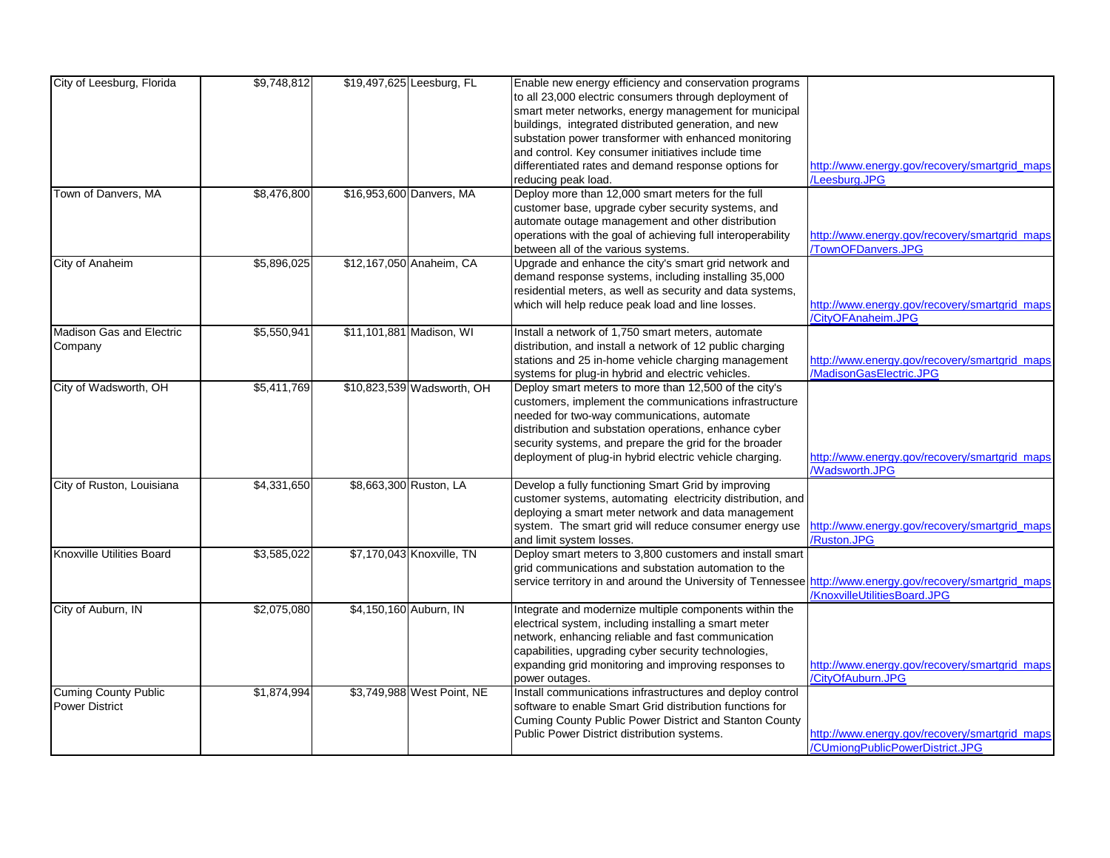| City of Leesburg, Florida<br>Town of Danvers, MA     | \$9,748,812<br>\$8,476,800 |                        | \$19,497,625 Leesburg, FL<br>\$16,953,600 Danvers, MA | Enable new energy efficiency and conservation programs<br>to all 23,000 electric consumers through deployment of<br>smart meter networks, energy management for municipal<br>buildings, integrated distributed generation, and new<br>substation power transformer with enhanced monitoring<br>and control. Key consumer initiatives include time<br>differentiated rates and demand response options for<br>reducing peak load.<br>Deploy more than 12,000 smart meters for the full | http://www.energy.gov/recovery/smartgrid_maps<br>Leesburg.JPG                    |
|------------------------------------------------------|----------------------------|------------------------|-------------------------------------------------------|---------------------------------------------------------------------------------------------------------------------------------------------------------------------------------------------------------------------------------------------------------------------------------------------------------------------------------------------------------------------------------------------------------------------------------------------------------------------------------------|----------------------------------------------------------------------------------|
|                                                      |                            |                        |                                                       | customer base, upgrade cyber security systems, and<br>automate outage management and other distribution<br>operations with the goal of achieving full interoperability<br>between all of the various systems.                                                                                                                                                                                                                                                                         | http://www.energy.gov/recovery/smartgrid_maps<br><b>TownOFDanvers.JPG</b>        |
| City of Anaheim                                      | \$5,896,025                |                        | \$12,167,050 Anaheim, CA                              | Upgrade and enhance the city's smart grid network and<br>demand response systems, including installing 35,000<br>residential meters, as well as security and data systems,<br>which will help reduce peak load and line losses.                                                                                                                                                                                                                                                       | http://www.energy.gov/recovery/smartgrid_maps<br>/CityOFAnaheim.JPG              |
| Madison Gas and Electric<br>Company                  | \$5,550,941                |                        | \$11,101,881 Madison, WI                              | Install a network of 1,750 smart meters, automate<br>distribution, and install a network of 12 public charging<br>stations and 25 in-home vehicle charging management<br>systems for plug-in hybrid and electric vehicles.                                                                                                                                                                                                                                                            | http://www.energy.gov/recovery/smartgrid_maps<br>/MadisonGasElectric.JPG         |
| City of Wadsworth, OH                                | \$5,411,769                |                        | \$10,823,539 Wadsworth, OH                            | Deploy smart meters to more than 12,500 of the city's<br>customers, implement the communications infrastructure<br>needed for two-way communications, automate<br>distribution and substation operations, enhance cyber<br>security systems, and prepare the grid for the broader<br>deployment of plug-in hybrid electric vehicle charging.                                                                                                                                          | http://www.energy.gov/recovery/smartgrid_maps<br>Wadsworth.JPG                   |
| City of Ruston, Louisiana                            | \$4,331,650                |                        | \$8,663,300 Ruston, LA                                | Develop a fully functioning Smart Grid by improving<br>customer systems, automating electricity distribution, and<br>deploying a smart meter network and data management<br>system. The smart grid will reduce consumer energy use<br>and limit system losses.                                                                                                                                                                                                                        | http://www.energy.gov/recovery/smartgrid_maps<br><b>Ruston.JPG</b>               |
| <b>Knoxville Utilities Board</b>                     | \$3,585,022                |                        | \$7,170,043 Knoxville, TN                             | Deploy smart meters to 3,800 customers and install smart<br>grid communications and substation automation to the<br>service territory in and around the University of Tennessee http://www.energy.gov/recovery/smartgrid_maps                                                                                                                                                                                                                                                         | KnoxvilleUtilitiesBoard.JPG                                                      |
| City of Auburn, IN                                   | \$2,075,080                | \$4,150,160 Auburn, IN |                                                       | Integrate and modernize multiple components within the<br>electrical system, including installing a smart meter<br>network, enhancing reliable and fast communication<br>capabilities, upgrading cyber security technologies,<br>expanding grid monitoring and improving responses to<br>power outages.                                                                                                                                                                               | http://www.energy.gov/recovery/smartgrid maps<br>/CityOfAuburn.JPG               |
| <b>Cuming County Public</b><br><b>Power District</b> | \$1,874,994                |                        | \$3,749,988 West Point, NE                            | Install communications infrastructures and deploy control<br>software to enable Smart Grid distribution functions for<br>Cuming County Public Power District and Stanton County<br>Public Power District distribution systems.                                                                                                                                                                                                                                                        | http://www.energy.gov/recovery/smartgrid_maps<br>/CUmiongPublicPowerDistrict.JPG |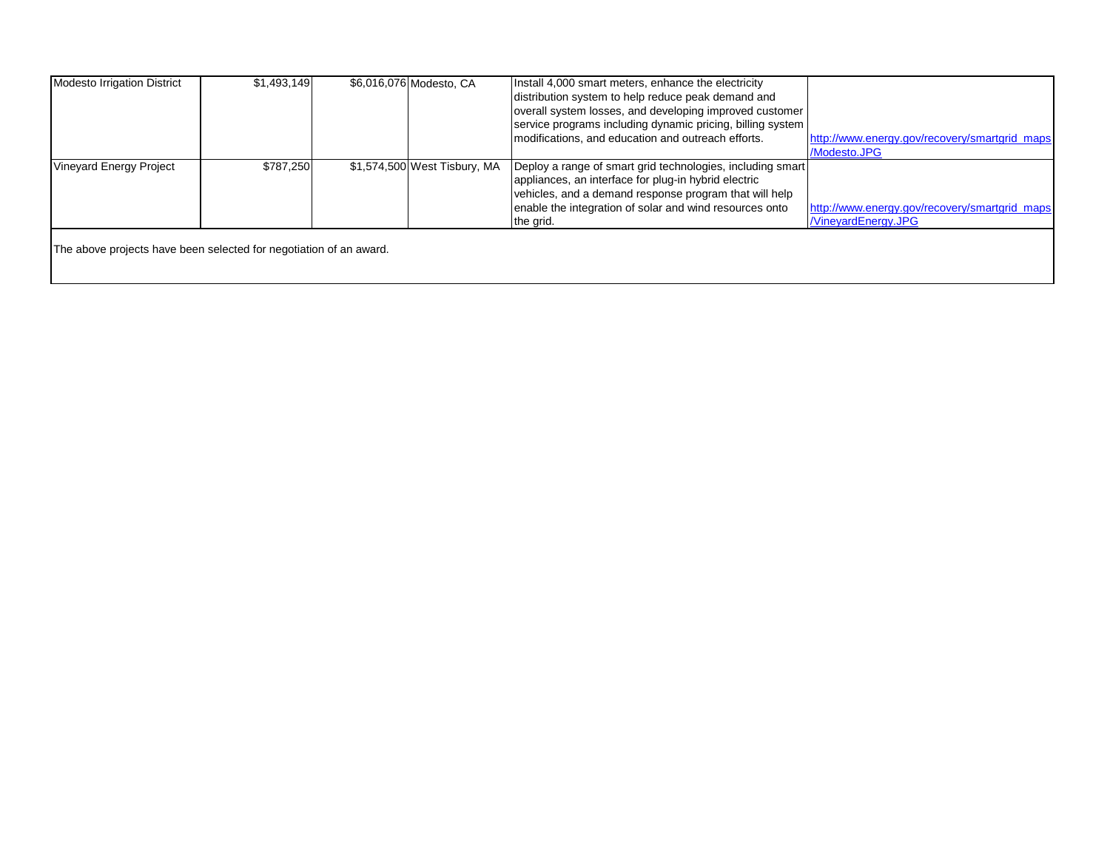| <b>Modesto Irrigation District</b>                                 | \$1,493,149 |  | \$6,016,076 Modesto, CA      | Install 4,000 smart meters, enhance the electricity<br>distribution system to help reduce peak demand and<br>overall system losses, and developing improved customer<br>service programs including dynamic pricing, billing system<br>modifications, and education and outreach efforts. | http://www.energy.gov/recovery/smartgrid_maps<br>/Modesto.JPG              |  |  |  |
|--------------------------------------------------------------------|-------------|--|------------------------------|------------------------------------------------------------------------------------------------------------------------------------------------------------------------------------------------------------------------------------------------------------------------------------------|----------------------------------------------------------------------------|--|--|--|
| Vineyard Energy Project                                            | \$787,250   |  | \$1,574,500 West Tisbury, MA | Deploy a range of smart grid technologies, including smart<br>appliances, an interface for plug-in hybrid electric<br>vehicles, and a demand response program that will help<br>enable the integration of solar and wind resources onto<br>the grid.                                     | http://www.energy.gov/recovery/smartgrid maps<br><b>NineyardEnergy.JPG</b> |  |  |  |
| The above projects have been selected for negotiation of an award. |             |  |                              |                                                                                                                                                                                                                                                                                          |                                                                            |  |  |  |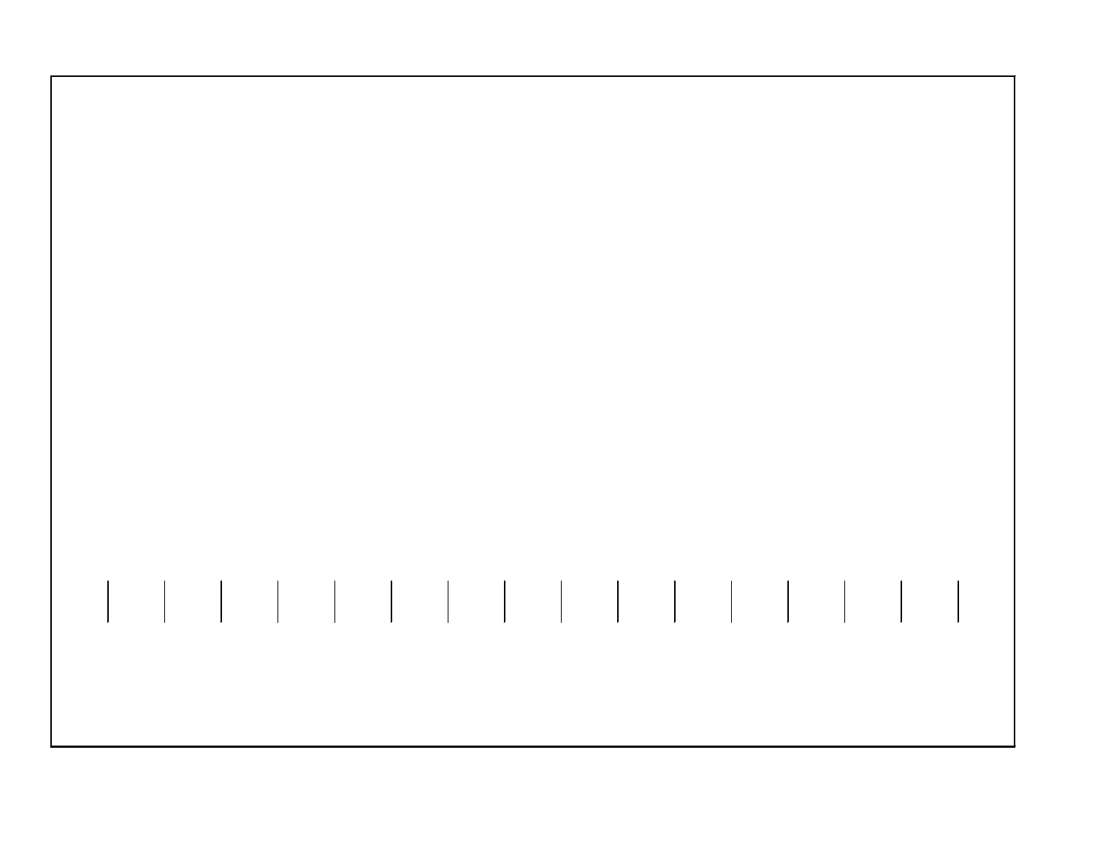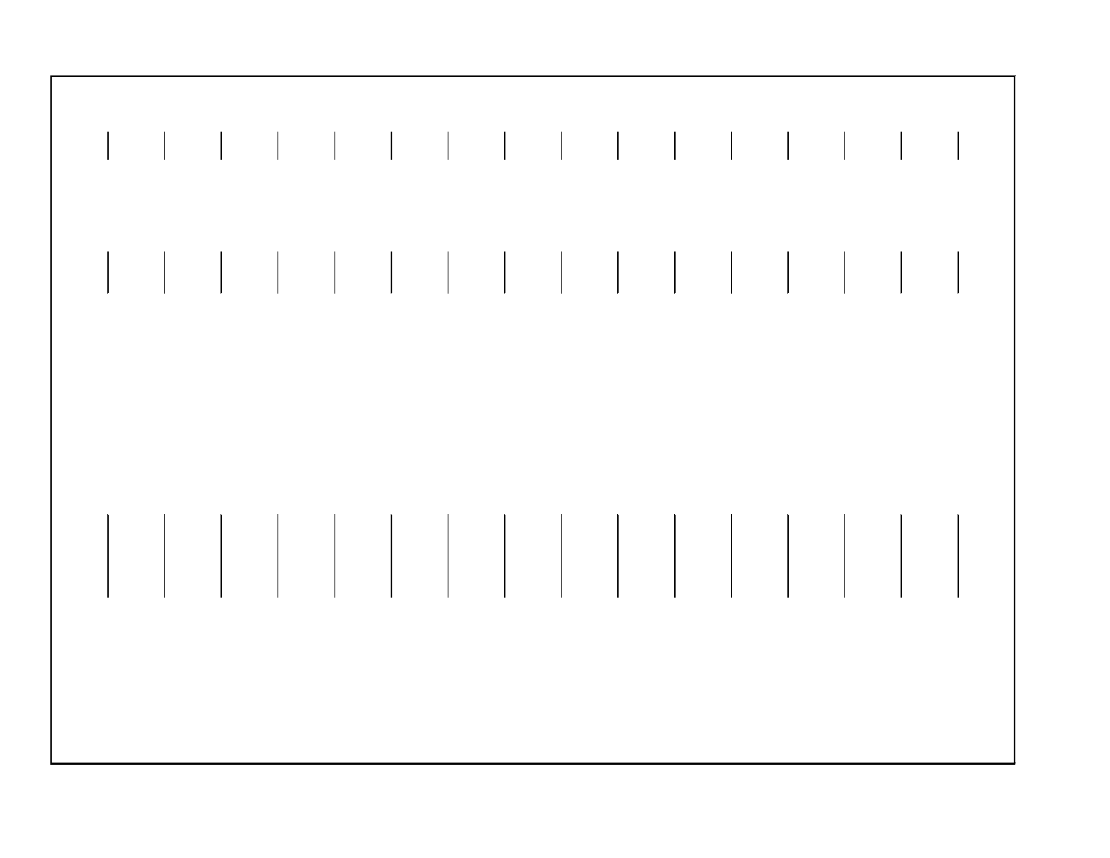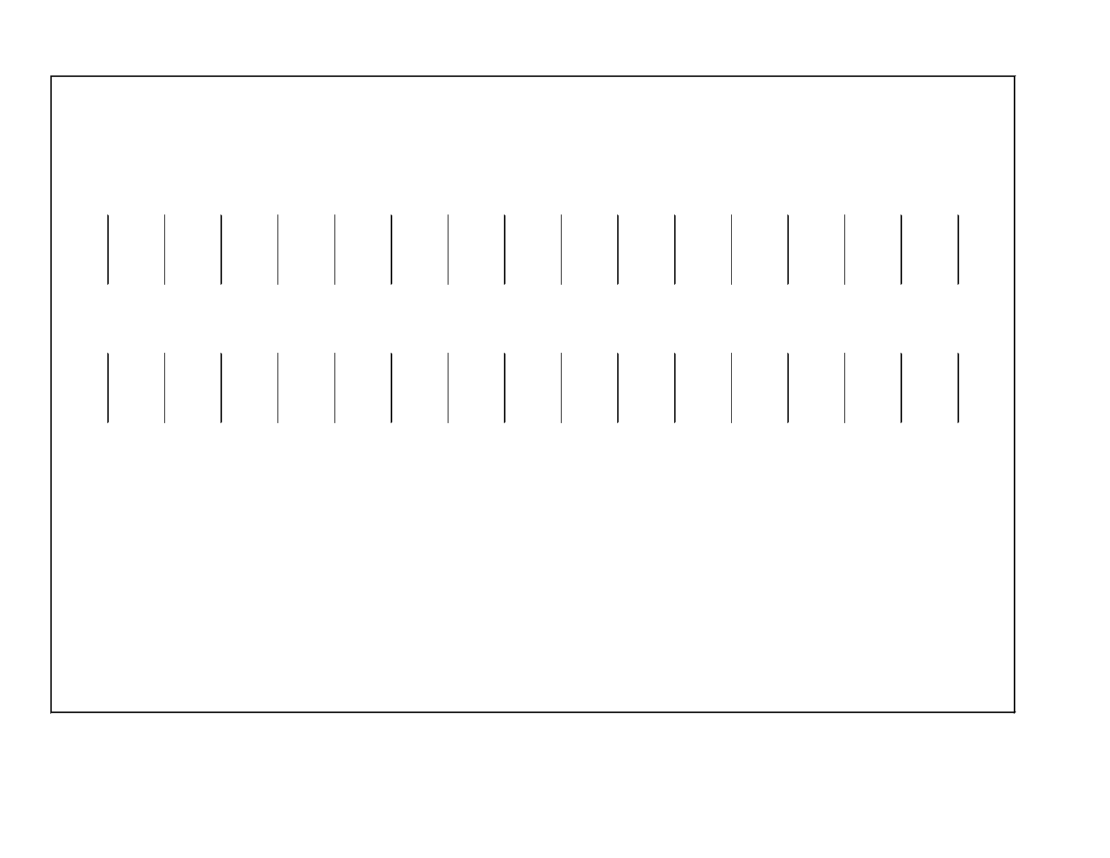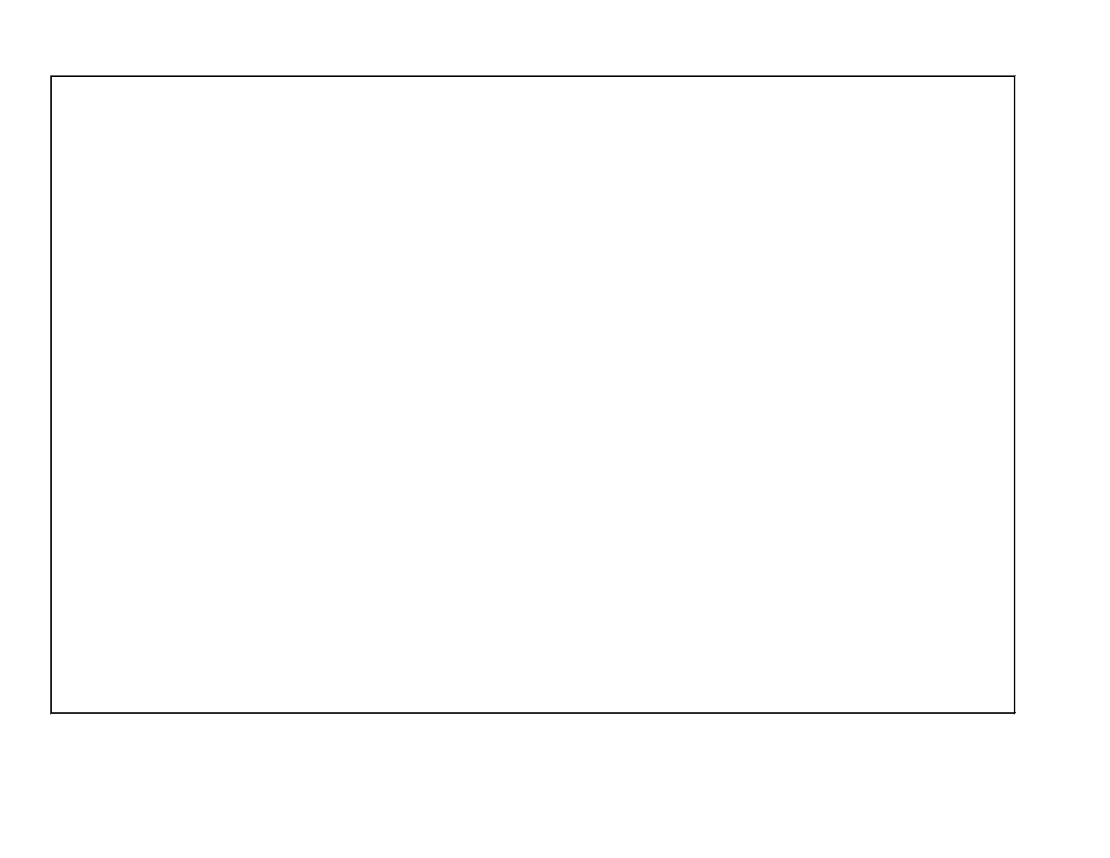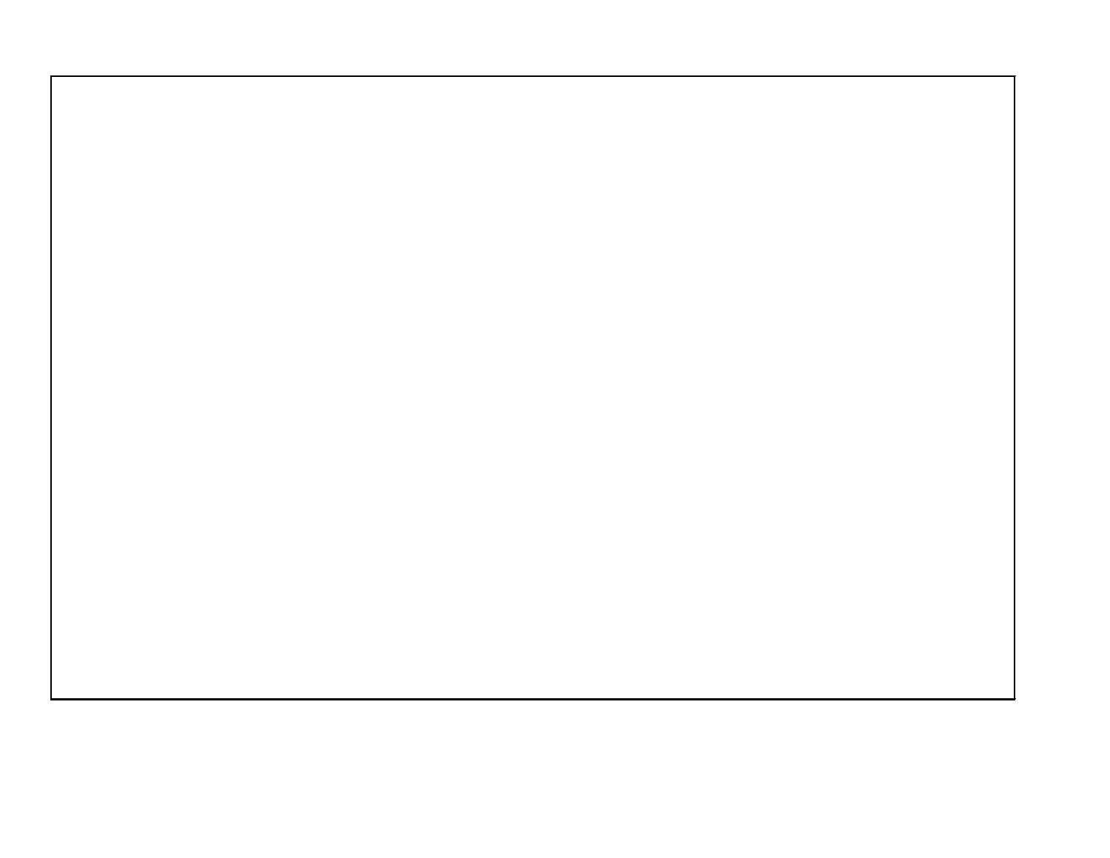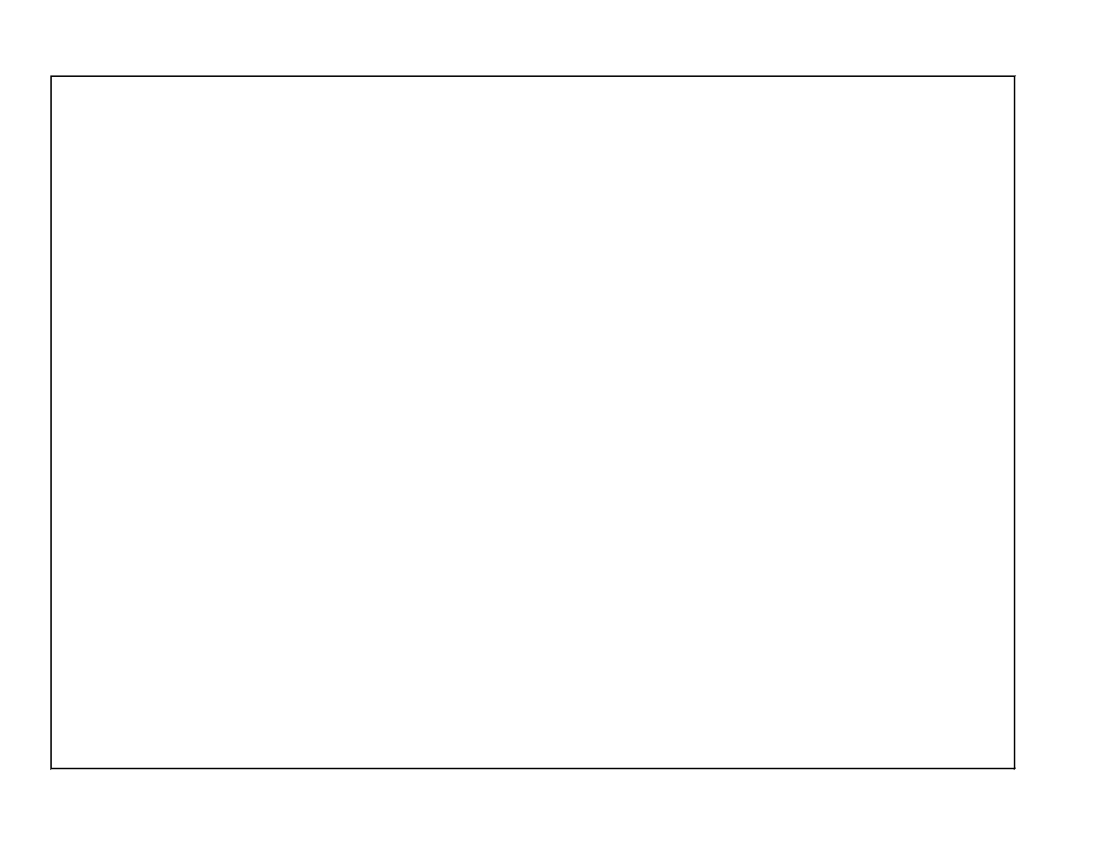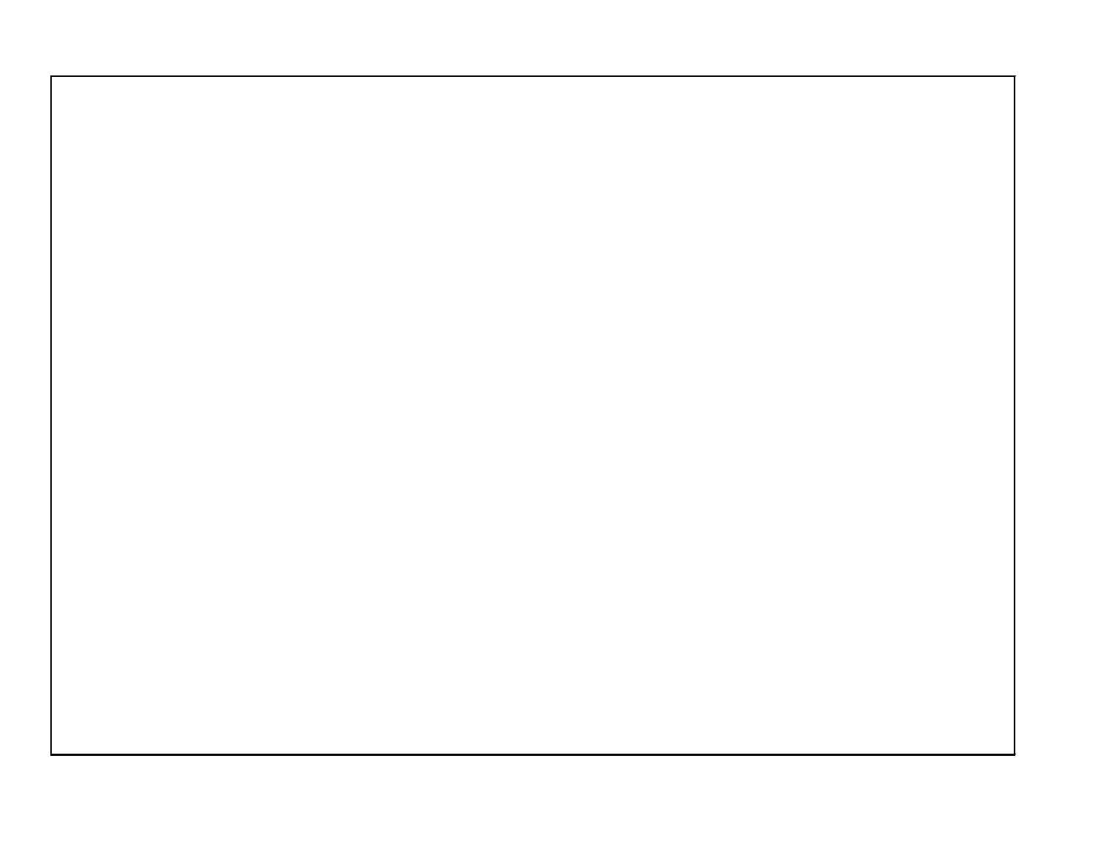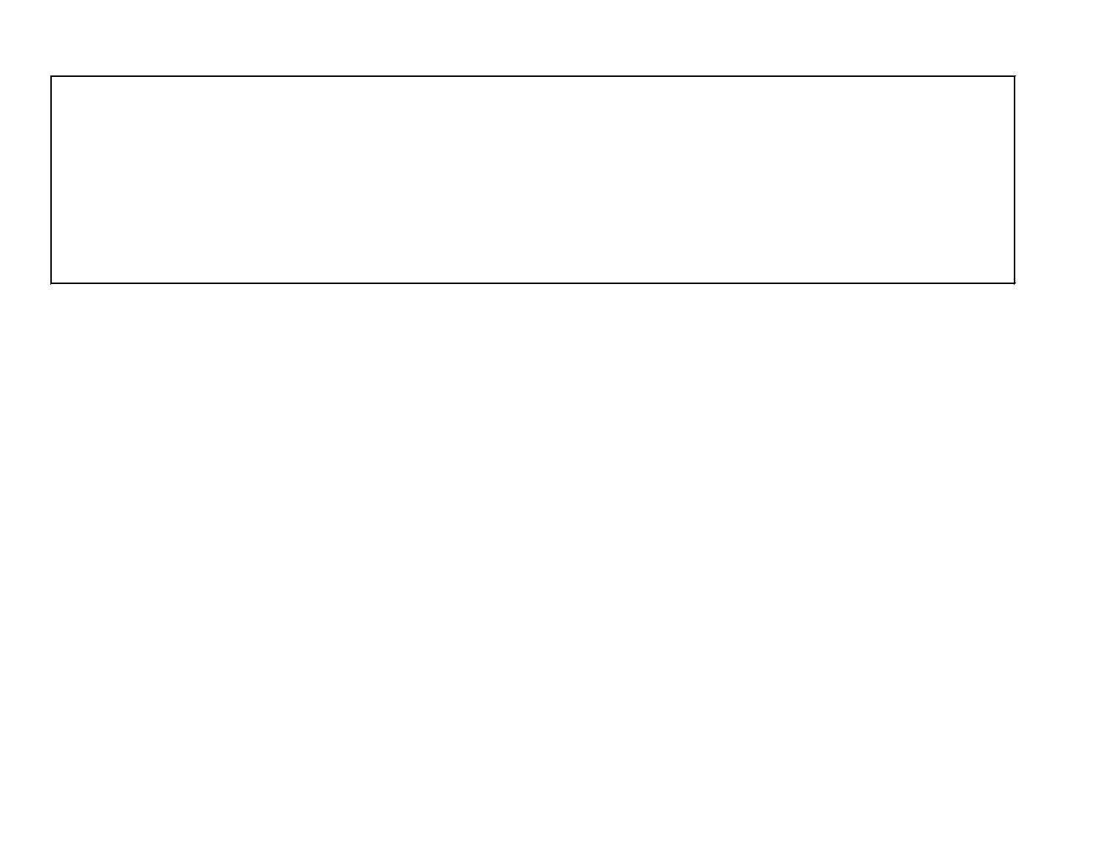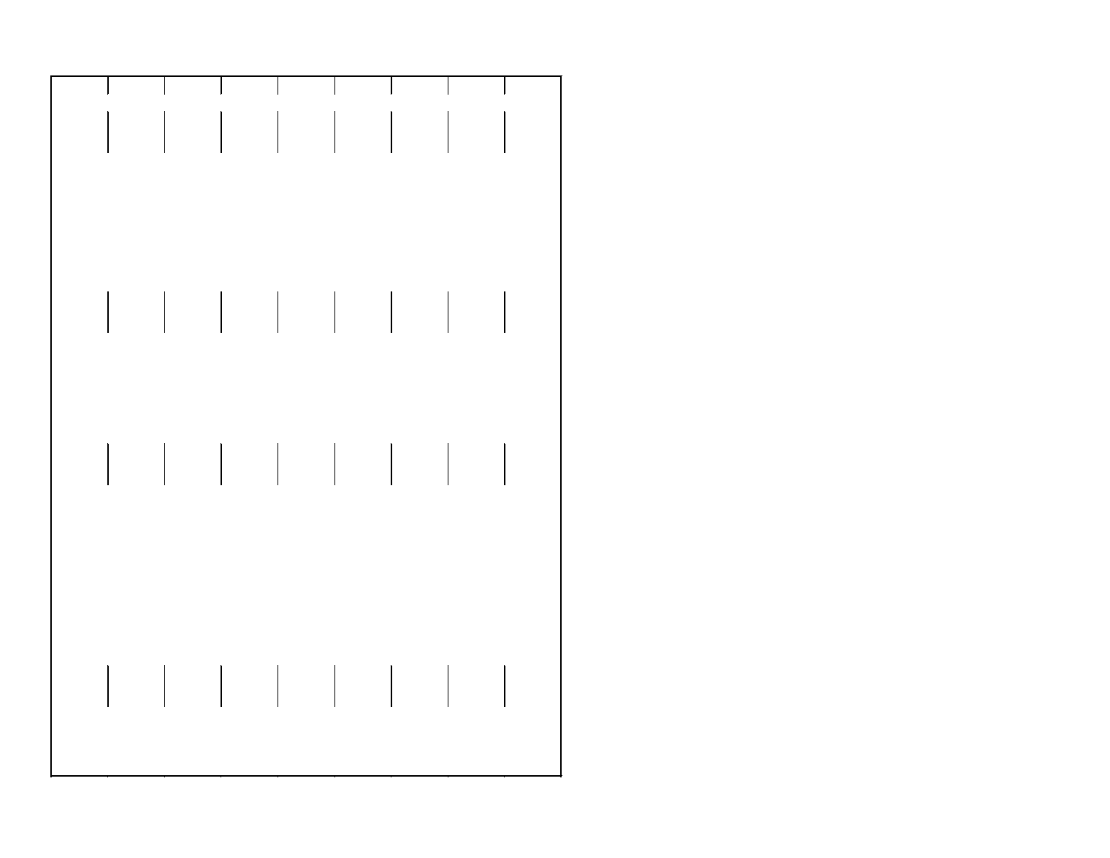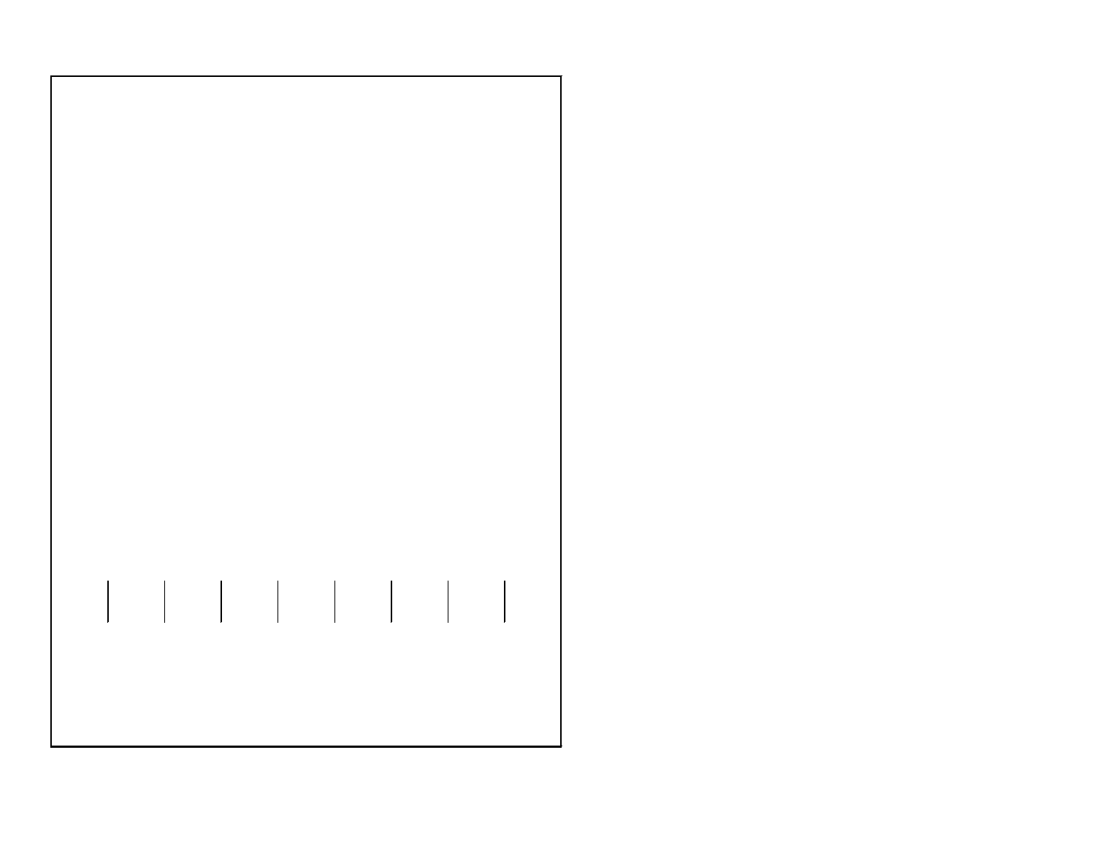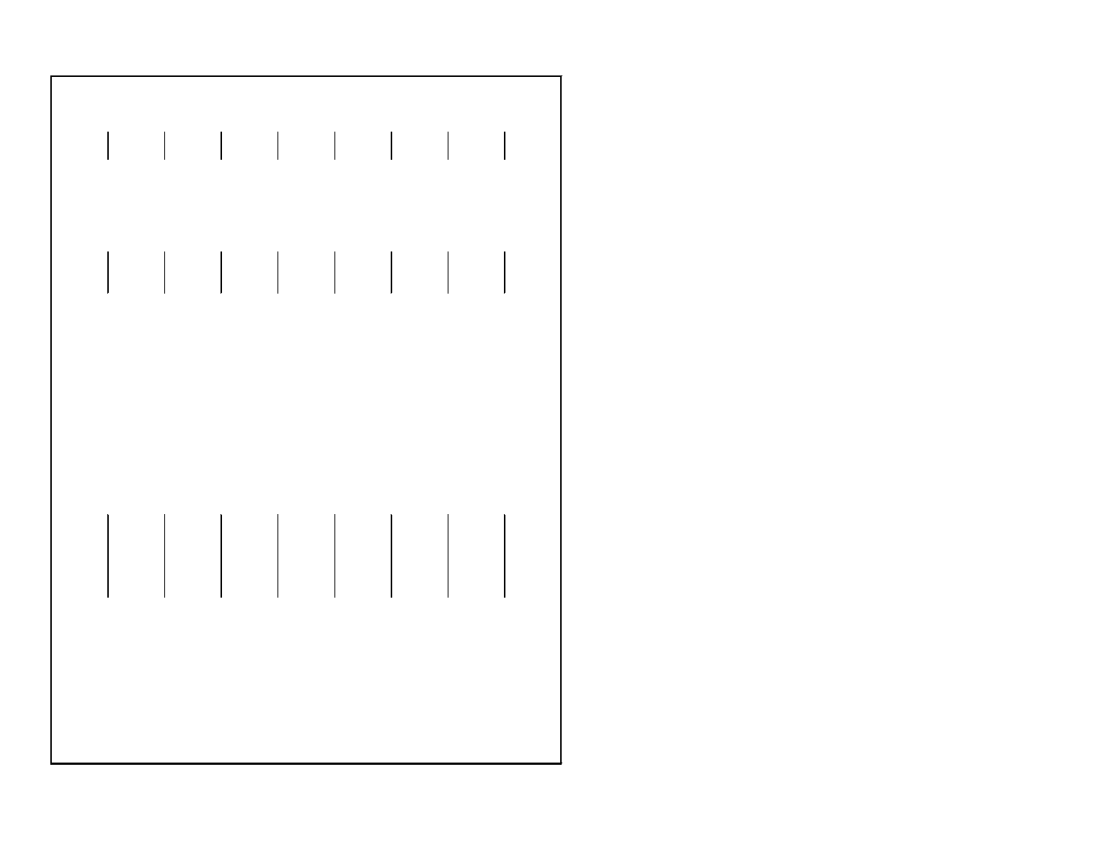